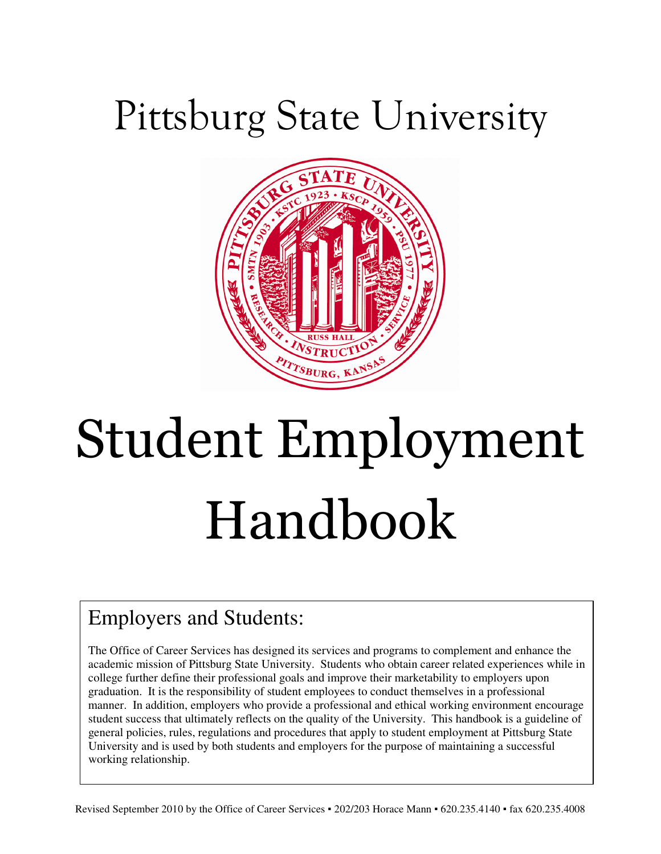# Pittsburg State University



# Student Employment Handbook

# Employers and Students:

The Office of Career Services has designed its services and programs to complement and enhance the academic mission of Pittsburg State University. Students who obtain career related experiences while in college further define their professional goals and improve their marketability to employers upon graduation. It is the responsibility of student employees to conduct themselves in a professional manner. In addition, employers who provide a professional and ethical working environment encourage student success that ultimately reflects on the quality of the University. This handbook is a guideline of general policies, rules, regulations and procedures that apply to student employment at Pittsburg State University and is used by both students and employers for the purpose of maintaining a successful working relationship.

Revised September 2010 by the Office of Career Services ▪ 202/203 Horace Mann ▪ 620.235.4140 ▪ fax 620.235.4008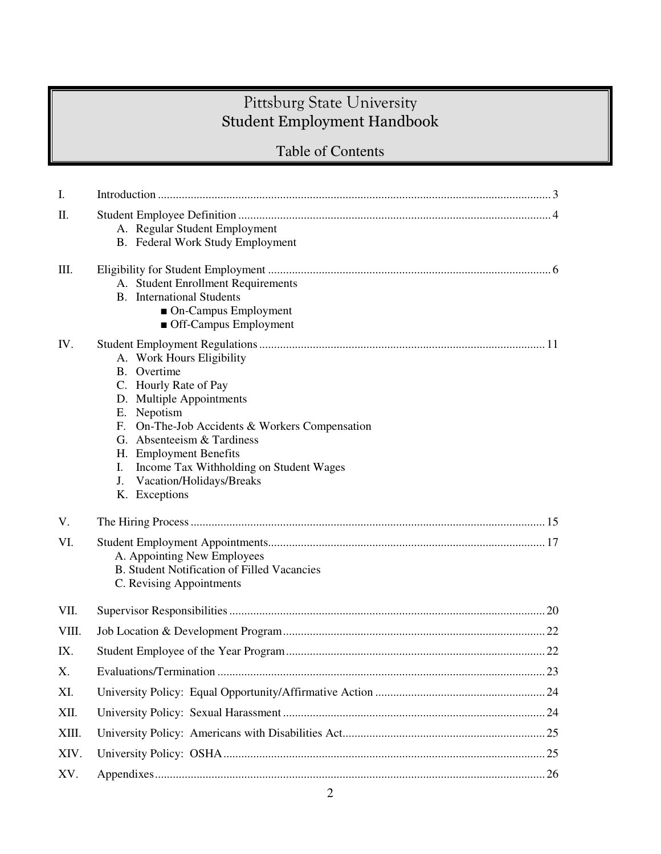# Pittsburg State University Student Employment Handbook

# Table of Contents

| I.    |                                                                                                                                                                                                                                                                                                                            |
|-------|----------------------------------------------------------------------------------------------------------------------------------------------------------------------------------------------------------------------------------------------------------------------------------------------------------------------------|
| Π.    | A. Regular Student Employment<br><b>B.</b> Federal Work Study Employment                                                                                                                                                                                                                                                   |
| Ш.    | A. Student Enrollment Requirements<br><b>B.</b> International Students<br>• On-Campus Employment<br>• Off-Campus Employment                                                                                                                                                                                                |
| IV.   | A. Work Hours Eligibility<br>B. Overtime<br>C. Hourly Rate of Pay<br>D. Multiple Appointments<br>E. Nepotism<br>F. On-The-Job Accidents & Workers Compensation<br>G. Absenteeism & Tardiness<br>H. Employment Benefits<br>Income Tax Withholding on Student Wages<br>Ι.<br>Vacation/Holidays/Breaks<br>J.<br>K. Exceptions |
| V.    |                                                                                                                                                                                                                                                                                                                            |
| VI.   | A. Appointing New Employees<br><b>B.</b> Student Notification of Filled Vacancies<br>C. Revising Appointments                                                                                                                                                                                                              |
| VII.  |                                                                                                                                                                                                                                                                                                                            |
| VIII. |                                                                                                                                                                                                                                                                                                                            |
| IX.   |                                                                                                                                                                                                                                                                                                                            |
| Χ.    |                                                                                                                                                                                                                                                                                                                            |
| XI.   |                                                                                                                                                                                                                                                                                                                            |
| XII.  |                                                                                                                                                                                                                                                                                                                            |
| XIII. |                                                                                                                                                                                                                                                                                                                            |
| XIV.  |                                                                                                                                                                                                                                                                                                                            |
| XV.   |                                                                                                                                                                                                                                                                                                                            |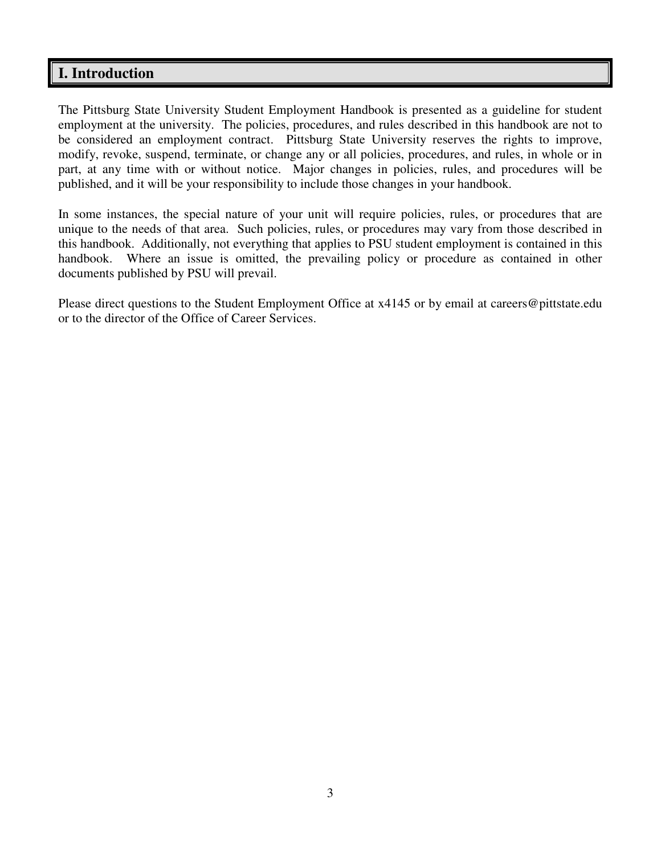# **I. Introduction**

The Pittsburg State University Student Employment Handbook is presented as a guideline for student employment at the university. The policies, procedures, and rules described in this handbook are not to be considered an employment contract. Pittsburg State University reserves the rights to improve, modify, revoke, suspend, terminate, or change any or all policies, procedures, and rules, in whole or in part, at any time with or without notice. Major changes in policies, rules, and procedures will be published, and it will be your responsibility to include those changes in your handbook.

In some instances, the special nature of your unit will require policies, rules, or procedures that are unique to the needs of that area. Such policies, rules, or procedures may vary from those described in this handbook. Additionally, not everything that applies to PSU student employment is contained in this handbook. Where an issue is omitted, the prevailing policy or procedure as contained in other documents published by PSU will prevail.

Please direct questions to the Student Employment Office at x4145 or by email at careers@pittstate.edu or to the director of the Office of Career Services.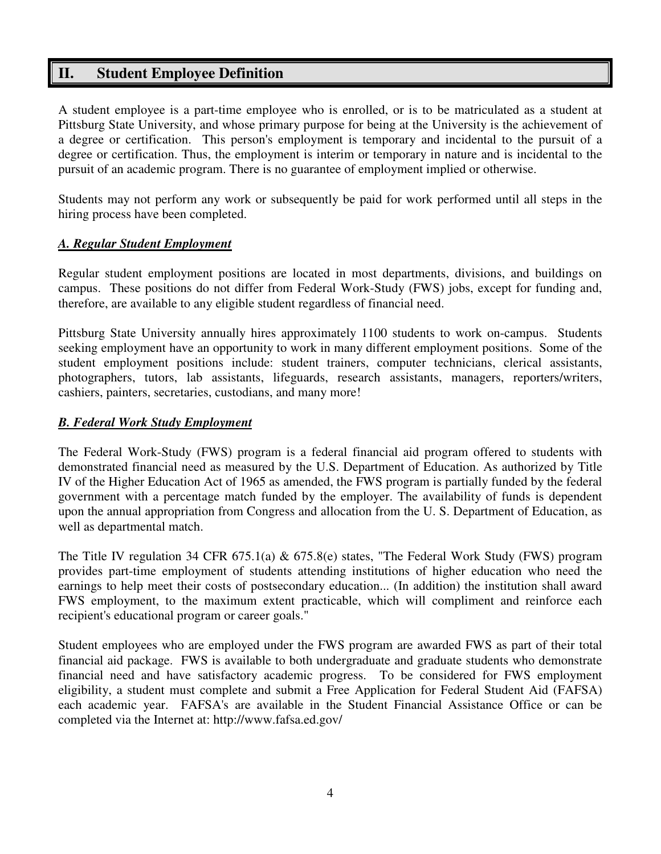# **II. Student Employee Definition**

A student employee is a part-time employee who is enrolled, or is to be matriculated as a student at Pittsburg State University, and whose primary purpose for being at the University is the achievement of a degree or certification. This person's employment is temporary and incidental to the pursuit of a degree or certification. Thus, the employment is interim or temporary in nature and is incidental to the pursuit of an academic program. There is no guarantee of employment implied or otherwise.

Students may not perform any work or subsequently be paid for work performed until all steps in the hiring process have been completed.

# *A. Regular Student Employment*

Regular student employment positions are located in most departments, divisions, and buildings on campus. These positions do not differ from Federal Work-Study (FWS) jobs, except for funding and, therefore, are available to any eligible student regardless of financial need.

Pittsburg State University annually hires approximately 1100 students to work on-campus. Students seeking employment have an opportunity to work in many different employment positions. Some of the student employment positions include: student trainers, computer technicians, clerical assistants, photographers, tutors, lab assistants, lifeguards, research assistants, managers, reporters/writers, cashiers, painters, secretaries, custodians, and many more!

### *B. Federal Work Study Employment*

The Federal Work-Study (FWS) program is a federal financial aid program offered to students with demonstrated financial need as measured by the U.S. Department of Education. As authorized by Title IV of the Higher Education Act of 1965 as amended, the FWS program is partially funded by the federal government with a percentage match funded by the employer. The availability of funds is dependent upon the annual appropriation from Congress and allocation from the U. S. Department of Education, as well as departmental match.

The Title IV regulation 34 CFR 675.1(a) & 675.8(e) states, "The Federal Work Study (FWS) program provides part-time employment of students attending institutions of higher education who need the earnings to help meet their costs of postsecondary education... (In addition) the institution shall award FWS employment, to the maximum extent practicable, which will compliment and reinforce each recipient's educational program or career goals."

Student employees who are employed under the FWS program are awarded FWS as part of their total financial aid package. FWS is available to both undergraduate and graduate students who demonstrate financial need and have satisfactory academic progress. To be considered for FWS employment eligibility, a student must complete and submit a Free Application for Federal Student Aid (FAFSA) each academic year. FAFSA's are available in the Student Financial Assistance Office or can be completed via the Internet at: http://www.fafsa.ed.gov/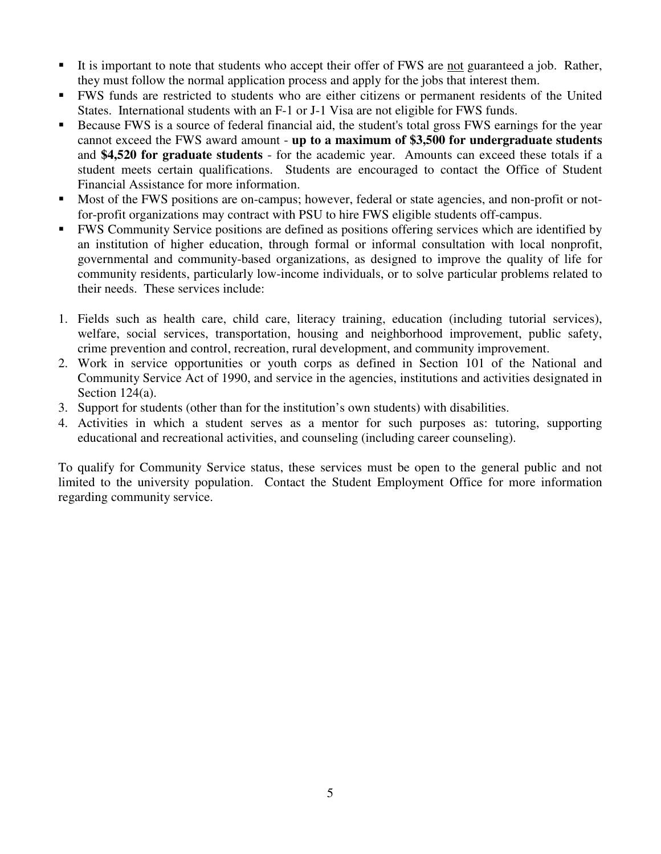- It is important to note that students who accept their offer of FWS are not guaranteed a job. Rather, they must follow the normal application process and apply for the jobs that interest them.
- FWS funds are restricted to students who are either citizens or permanent residents of the United States. International students with an F-1 or J-1 Visa are not eligible for FWS funds.
- Because FWS is a source of federal financial aid, the student's total gross FWS earnings for the year cannot exceed the FWS award amount - **up to a maximum of \$3,500 for undergraduate students** and **\$4,520 for graduate students** - for the academic year. Amounts can exceed these totals if a student meets certain qualifications. Students are encouraged to contact the Office of Student Financial Assistance for more information.
- Most of the FWS positions are on-campus; however, federal or state agencies, and non-profit or notfor-profit organizations may contract with PSU to hire FWS eligible students off-campus.
- FWS Community Service positions are defined as positions offering services which are identified by an institution of higher education, through formal or informal consultation with local nonprofit, governmental and community-based organizations, as designed to improve the quality of life for community residents, particularly low-income individuals, or to solve particular problems related to their needs. These services include:
- 1. Fields such as health care, child care, literacy training, education (including tutorial services), welfare, social services, transportation, housing and neighborhood improvement, public safety, crime prevention and control, recreation, rural development, and community improvement.
- 2. Work in service opportunities or youth corps as defined in Section 101 of the National and Community Service Act of 1990, and service in the agencies, institutions and activities designated in Section 124(a).
- 3. Support for students (other than for the institution's own students) with disabilities.
- 4. Activities in which a student serves as a mentor for such purposes as: tutoring, supporting educational and recreational activities, and counseling (including career counseling).

To qualify for Community Service status, these services must be open to the general public and not limited to the university population. Contact the Student Employment Office for more information regarding community service.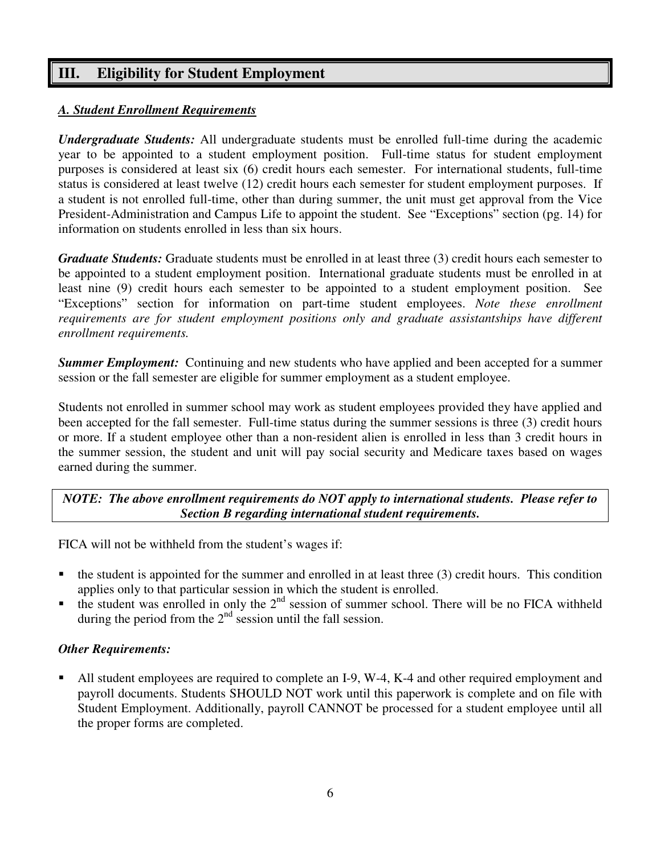# **III. Eligibility for Student Employment**

# *A. Student Enrollment Requirements*

*Undergraduate Students:* All undergraduate students must be enrolled full-time during the academic year to be appointed to a student employment position. Full-time status for student employment purposes is considered at least six (6) credit hours each semester. For international students, full-time status is considered at least twelve (12) credit hours each semester for student employment purposes. If a student is not enrolled full-time, other than during summer, the unit must get approval from the Vice President-Administration and Campus Life to appoint the student. See "Exceptions" section (pg. 14) for information on students enrolled in less than six hours.

*Graduate Students:* Graduate students must be enrolled in at least three (3) credit hours each semester to be appointed to a student employment position. International graduate students must be enrolled in at least nine (9) credit hours each semester to be appointed to a student employment position. See "Exceptions" section for information on part-time student employees. *Note these enrollment requirements are for student employment positions only and graduate assistantships have different enrollment requirements.*

**Summer Employment:** Continuing and new students who have applied and been accepted for a summer session or the fall semester are eligible for summer employment as a student employee.

Students not enrolled in summer school may work as student employees provided they have applied and been accepted for the fall semester. Full-time status during the summer sessions is three (3) credit hours or more. If a student employee other than a non-resident alien is enrolled in less than 3 credit hours in the summer session, the student and unit will pay social security and Medicare taxes based on wages earned during the summer.

*NOTE: The above enrollment requirements do NOT apply to international students. Please refer to Section B regarding international student requirements.* 

FICA will not be withheld from the student's wages if:

- the student is appointed for the summer and enrolled in at least three (3) credit hours. This condition applies only to that particular session in which the student is enrolled.
- the student was enrolled in only the  $2<sup>nd</sup>$  session of summer school. There will be no FICA withheld during the period from the  $2<sup>nd</sup>$  session until the fall session.

#### *Other Requirements:*

 All student employees are required to complete an I-9, W-4, K-4 and other required employment and payroll documents. Students SHOULD NOT work until this paperwork is complete and on file with Student Employment. Additionally, payroll CANNOT be processed for a student employee until all the proper forms are completed.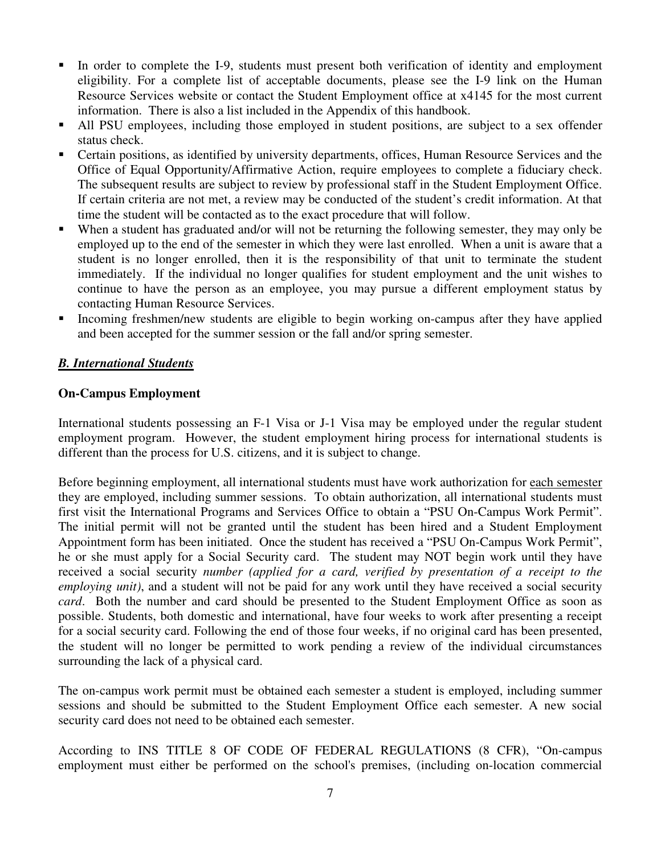- In order to complete the I-9, students must present both verification of identity and employment eligibility. For a complete list of acceptable documents, please see the I-9 link on the Human Resource Services website or contact the Student Employment office at x4145 for the most current information. There is also a list included in the Appendix of this handbook.
- All PSU employees, including those employed in student positions, are subject to a sex offender status check.
- Certain positions, as identified by university departments, offices, Human Resource Services and the Office of Equal Opportunity/Affirmative Action, require employees to complete a fiduciary check. The subsequent results are subject to review by professional staff in the Student Employment Office. If certain criteria are not met, a review may be conducted of the student's credit information. At that time the student will be contacted as to the exact procedure that will follow.
- When a student has graduated and/or will not be returning the following semester, they may only be employed up to the end of the semester in which they were last enrolled. When a unit is aware that a student is no longer enrolled, then it is the responsibility of that unit to terminate the student immediately. If the individual no longer qualifies for student employment and the unit wishes to continue to have the person as an employee, you may pursue a different employment status by contacting Human Resource Services.
- Incoming freshmen/new students are eligible to begin working on-campus after they have applied and been accepted for the summer session or the fall and/or spring semester.

# *B. International Students*

#### **On-Campus Employment**

International students possessing an F-1 Visa or J-1 Visa may be employed under the regular student employment program. However, the student employment hiring process for international students is different than the process for U.S. citizens, and it is subject to change.

Before beginning employment, all international students must have work authorization for each semester they are employed, including summer sessions. To obtain authorization, all international students must first visit the International Programs and Services Office to obtain a "PSU On-Campus Work Permit". The initial permit will not be granted until the student has been hired and a Student Employment Appointment form has been initiated. Once the student has received a "PSU On-Campus Work Permit", he or she must apply for a Social Security card. The student may NOT begin work until they have received a social security *number (applied for a card, verified by presentation of a receipt to the employing unit)*, and a student will not be paid for any work until they have received a social security *card*. Both the number and card should be presented to the Student Employment Office as soon as possible. Students, both domestic and international, have four weeks to work after presenting a receipt for a social security card. Following the end of those four weeks, if no original card has been presented, the student will no longer be permitted to work pending a review of the individual circumstances surrounding the lack of a physical card.

The on-campus work permit must be obtained each semester a student is employed, including summer sessions and should be submitted to the Student Employment Office each semester. A new social security card does not need to be obtained each semester.

According to INS TITLE 8 OF CODE OF FEDERAL REGULATIONS (8 CFR), "On-campus employment must either be performed on the school's premises, (including on-location commercial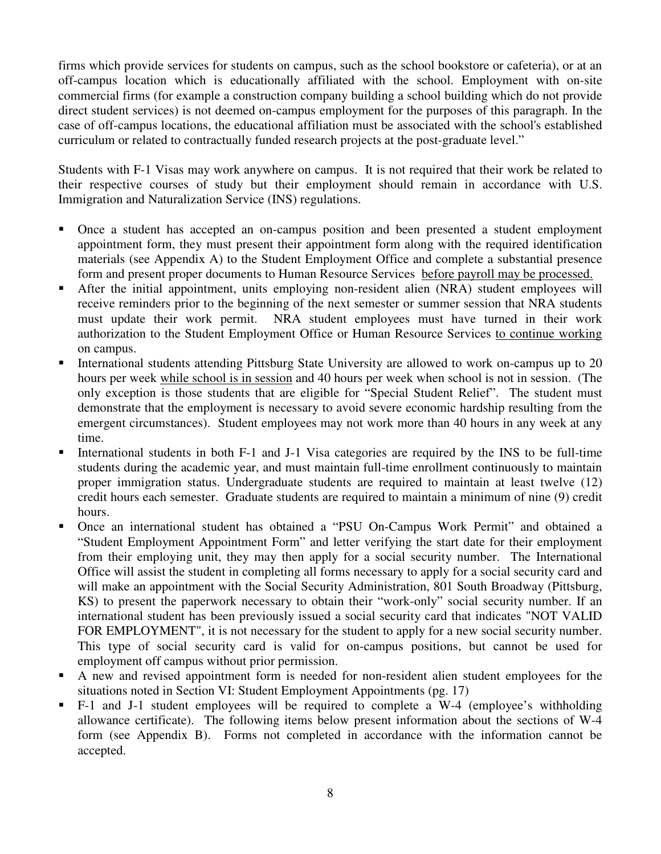firms which provide services for students on campus, such as the school bookstore or cafeteria), or at an off-campus location which is educationally affiliated with the school. Employment with on-site commercial firms (for example a construction company building a school building which do not provide direct student services) is not deemed on-campus employment for the purposes of this paragraph. In the case of off-campus locations, the educational affiliation must be associated with the school's established curriculum or related to contractually funded research projects at the post-graduate level."

Students with F-1 Visas may work anywhere on campus. It is not required that their work be related to their respective courses of study but their employment should remain in accordance with U.S. Immigration and Naturalization Service (INS) regulations.

- Once a student has accepted an on-campus position and been presented a student employment appointment form, they must present their appointment form along with the required identification materials (see Appendix A) to the Student Employment Office and complete a substantial presence form and present proper documents to Human Resource Services before payroll may be processed.
- After the initial appointment, units employing non-resident alien (NRA) student employees will receive reminders prior to the beginning of the next semester or summer session that NRA students must update their work permit. NRA student employees must have turned in their work authorization to the Student Employment Office or Human Resource Services to continue working on campus.
- International students attending Pittsburg State University are allowed to work on-campus up to 20 hours per week while school is in session and 40 hours per week when school is not in session. (The only exception is those students that are eligible for "Special Student Relief". The student must demonstrate that the employment is necessary to avoid severe economic hardship resulting from the emergent circumstances). Student employees may not work more than 40 hours in any week at any time.
- International students in both F-1 and J-1 Visa categories are required by the INS to be full-time students during the academic year, and must maintain full-time enrollment continuously to maintain proper immigration status. Undergraduate students are required to maintain at least twelve (12) credit hours each semester. Graduate students are required to maintain a minimum of nine (9) credit hours.
- Once an international student has obtained a "PSU On-Campus Work Permit" and obtained a "Student Employment Appointment Form" and letter verifying the start date for their employment from their employing unit, they may then apply for a social security number. The International Office will assist the student in completing all forms necessary to apply for a social security card and will make an appointment with the Social Security Administration, 801 South Broadway (Pittsburg, KS) to present the paperwork necessary to obtain their "work-only" social security number. If an international student has been previously issued a social security card that indicates "NOT VALID FOR EMPLOYMENT", it is not necessary for the student to apply for a new social security number. This type of social security card is valid for on-campus positions, but cannot be used for employment off campus without prior permission.
- A new and revised appointment form is needed for non-resident alien student employees for the situations noted in Section VI: Student Employment Appointments (pg. 17)
- F-1 and J-1 student employees will be required to complete a W-4 (employee's withholding allowance certificate). The following items below present information about the sections of W-4 form (see Appendix B). Forms not completed in accordance with the information cannot be accepted.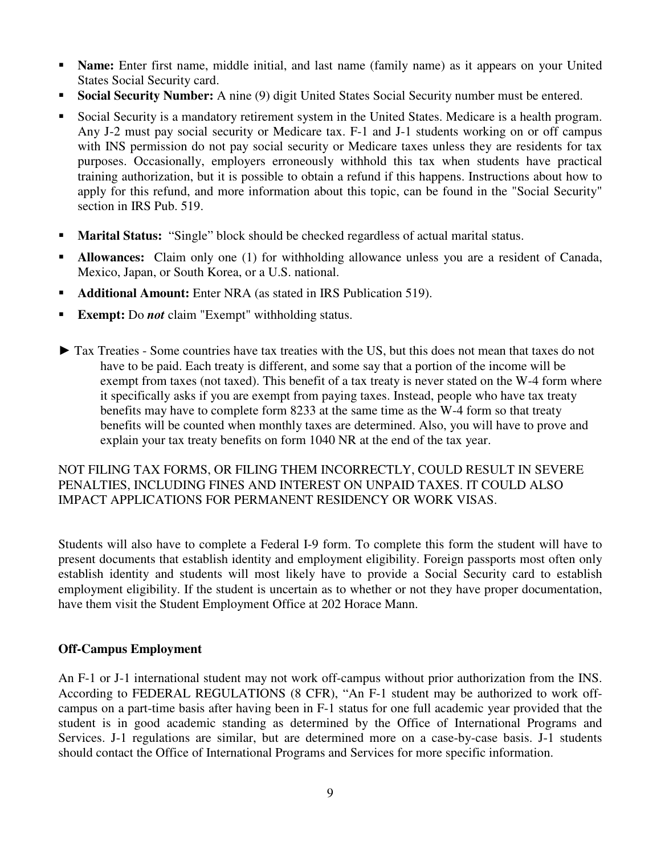- **Name:** Enter first name, middle initial, and last name (family name) as it appears on your United States Social Security card.
- **Social Security Number:** A nine (9) digit United States Social Security number must be entered.
- Social Security is a mandatory retirement system in the United States. Medicare is a health program. Any J-2 must pay social security or Medicare tax. F-1 and J-1 students working on or off campus with INS permission do not pay social security or Medicare taxes unless they are residents for tax purposes. Occasionally, employers erroneously withhold this tax when students have practical training authorization, but it is possible to obtain a refund if this happens. Instructions about how to apply for this refund, and more information about this topic, can be found in the "Social Security" section in IRS Pub. 519.
- **Marital Status:** "Single" block should be checked regardless of actual marital status.
- **Allowances:** Claim only one (1) for withholding allowance unless you are a resident of Canada, Mexico, Japan, or South Korea, or a U.S. national.
- **Additional Amount:** Enter NRA (as stated in IRS Publication 519).
- **Exempt:** Do *not* claim "Exempt" withholding status.
- ► Tax Treaties Some countries have tax treaties with the US, but this does not mean that taxes do not have to be paid. Each treaty is different, and some say that a portion of the income will be exempt from taxes (not taxed). This benefit of a tax treaty is never stated on the W-4 form where it specifically asks if you are exempt from paying taxes. Instead, people who have tax treaty benefits may have to complete form 8233 at the same time as the W-4 form so that treaty benefits will be counted when monthly taxes are determined. Also, you will have to prove and explain your tax treaty benefits on form 1040 NR at the end of the tax year.

# NOT FILING TAX FORMS, OR FILING THEM INCORRECTLY, COULD RESULT IN SEVERE PENALTIES, INCLUDING FINES AND INTEREST ON UNPAID TAXES. IT COULD ALSO IMPACT APPLICATIONS FOR PERMANENT RESIDENCY OR WORK VISAS.

Students will also have to complete a Federal I-9 form. To complete this form the student will have to present documents that establish identity and employment eligibility. Foreign passports most often only establish identity and students will most likely have to provide a Social Security card to establish employment eligibility. If the student is uncertain as to whether or not they have proper documentation, have them visit the Student Employment Office at 202 Horace Mann.

# **Off-Campus Employment**

An F-1 or J-1 international student may not work off-campus without prior authorization from the INS. According to FEDERAL REGULATIONS (8 CFR), "An F-1 student may be authorized to work offcampus on a part-time basis after having been in F-1 status for one full academic year provided that the student is in good academic standing as determined by the Office of International Programs and Services. J-1 regulations are similar, but are determined more on a case-by-case basis. J-1 students should contact the Office of International Programs and Services for more specific information.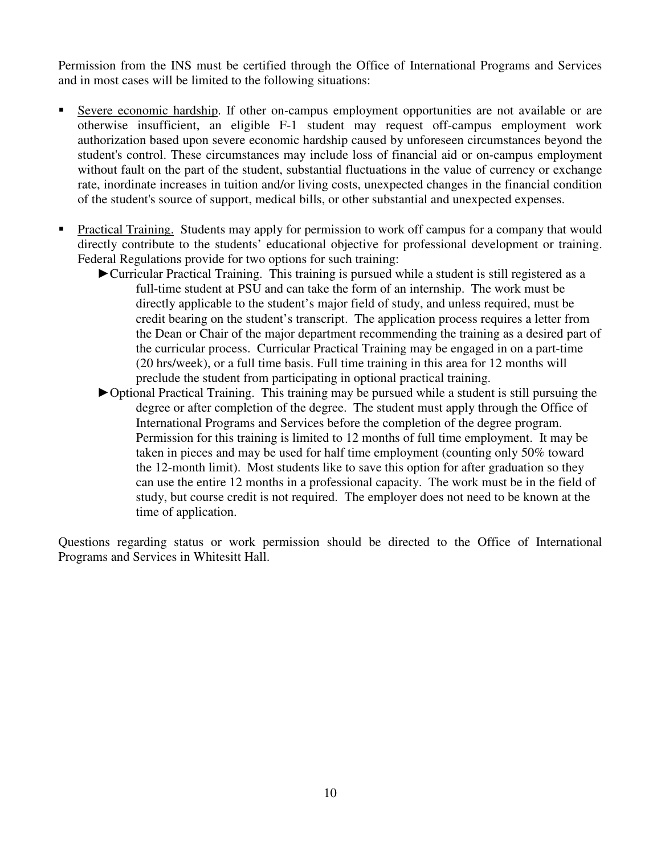Permission from the INS must be certified through the Office of International Programs and Services and in most cases will be limited to the following situations:

- Severe economic hardship. If other on-campus employment opportunities are not available or are otherwise insufficient, an eligible F-1 student may request off-campus employment work authorization based upon severe economic hardship caused by unforeseen circumstances beyond the student's control. These circumstances may include loss of financial aid or on-campus employment without fault on the part of the student, substantial fluctuations in the value of currency or exchange rate, inordinate increases in tuition and/or living costs, unexpected changes in the financial condition of the student's source of support, medical bills, or other substantial and unexpected expenses.
- Practical Training. Students may apply for permission to work off campus for a company that would directly contribute to the students' educational objective for professional development or training. Federal Regulations provide for two options for such training:
	- ►Curricular Practical Training. This training is pursued while a student is still registered as a full-time student at PSU and can take the form of an internship. The work must be directly applicable to the student's major field of study, and unless required, must be credit bearing on the student's transcript. The application process requires a letter from the Dean or Chair of the major department recommending the training as a desired part of the curricular process. Curricular Practical Training may be engaged in on a part-time (20 hrs/week), or a full time basis. Full time training in this area for 12 months will preclude the student from participating in optional practical training.
	- ►Optional Practical Training. This training may be pursued while a student is still pursuing the degree or after completion of the degree. The student must apply through the Office of International Programs and Services before the completion of the degree program. Permission for this training is limited to 12 months of full time employment. It may be taken in pieces and may be used for half time employment (counting only 50% toward the 12-month limit). Most students like to save this option for after graduation so they can use the entire 12 months in a professional capacity. The work must be in the field of study, but course credit is not required. The employer does not need to be known at the time of application.

Questions regarding status or work permission should be directed to the Office of International Programs and Services in Whitesitt Hall.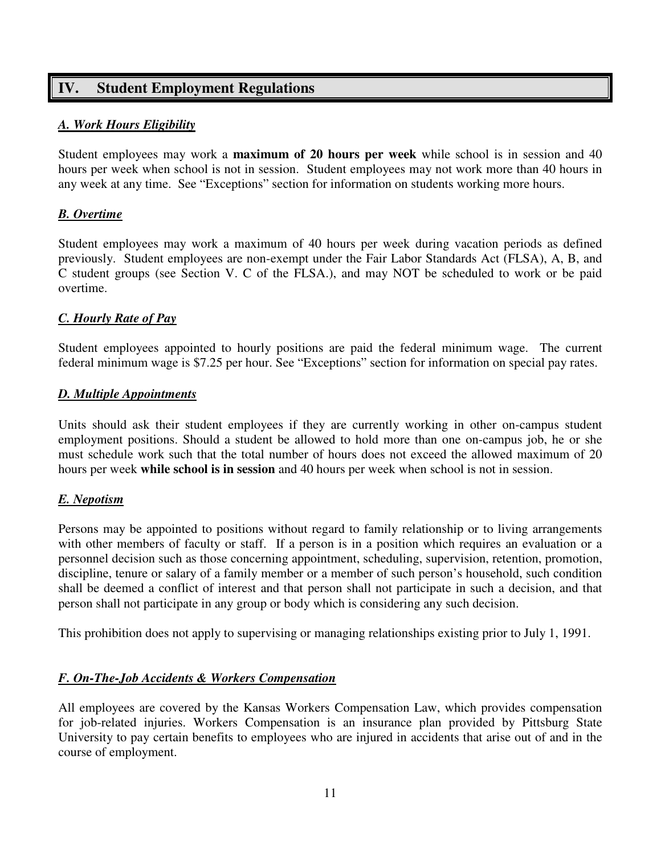# **IV. Student Employment Regulations**

# *A. Work Hours Eligibility*

Student employees may work a **maximum of 20 hours per week** while school is in session and 40 hours per week when school is not in session. Student employees may not work more than 40 hours in any week at any time. See "Exceptions" section for information on students working more hours.

# *B. Overtime*

Student employees may work a maximum of 40 hours per week during vacation periods as defined previously. Student employees are non-exempt under the Fair Labor Standards Act (FLSA), A, B, and C student groups (see Section V. C of the FLSA.), and may NOT be scheduled to work or be paid overtime.

# *C. Hourly Rate of Pay*

Student employees appointed to hourly positions are paid the federal minimum wage. The current federal minimum wage is \$7.25 per hour. See "Exceptions" section for information on special pay rates.

# *D. Multiple Appointments*

Units should ask their student employees if they are currently working in other on-campus student employment positions. Should a student be allowed to hold more than one on-campus job, he or she must schedule work such that the total number of hours does not exceed the allowed maximum of 20 hours per week **while school is in session** and 40 hours per week when school is not in session.

# *E. Nepotism*

Persons may be appointed to positions without regard to family relationship or to living arrangements with other members of faculty or staff. If a person is in a position which requires an evaluation or a personnel decision such as those concerning appointment, scheduling, supervision, retention, promotion, discipline, tenure or salary of a family member or a member of such person's household, such condition shall be deemed a conflict of interest and that person shall not participate in such a decision, and that person shall not participate in any group or body which is considering any such decision.

This prohibition does not apply to supervising or managing relationships existing prior to July 1, 1991.

# *F. On-The-Job Accidents & Workers Compensation*

All employees are covered by the Kansas Workers Compensation Law, which provides compensation for job-related injuries. Workers Compensation is an insurance plan provided by Pittsburg State University to pay certain benefits to employees who are injured in accidents that arise out of and in the course of employment.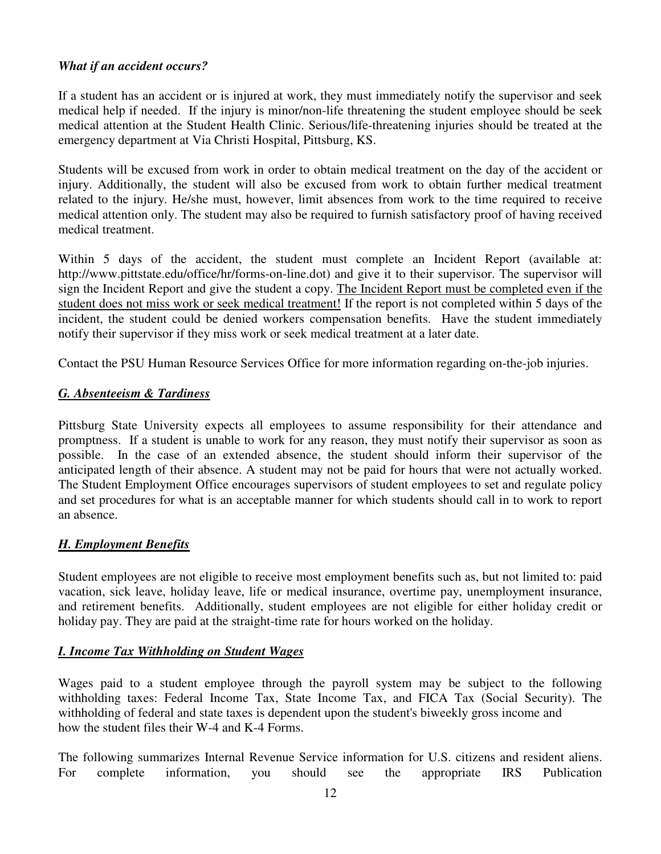# *What if an accident occurs?*

If a student has an accident or is injured at work, they must immediately notify the supervisor and seek medical help if needed. If the injury is minor/non-life threatening the student employee should be seek medical attention at the Student Health Clinic. Serious/life-threatening injuries should be treated at the emergency department at Via Christi Hospital, Pittsburg, KS.

Students will be excused from work in order to obtain medical treatment on the day of the accident or injury. Additionally, the student will also be excused from work to obtain further medical treatment related to the injury. He/she must, however, limit absences from work to the time required to receive medical attention only. The student may also be required to furnish satisfactory proof of having received medical treatment.

Within 5 days of the accident, the student must complete an Incident Report (available at: http://www.pittstate.edu/office/hr/forms-on-line.dot) and give it to their supervisor. The supervisor will sign the Incident Report and give the student a copy. The Incident Report must be completed even if the student does not miss work or seek medical treatment! If the report is not completed within 5 days of the incident, the student could be denied workers compensation benefits. Have the student immediately notify their supervisor if they miss work or seek medical treatment at a later date.

Contact the PSU Human Resource Services Office for more information regarding on-the-job injuries.

# *G. Absenteeism & Tardiness*

Pittsburg State University expects all employees to assume responsibility for their attendance and promptness. If a student is unable to work for any reason, they must notify their supervisor as soon as possible. In the case of an extended absence, the student should inform their supervisor of the anticipated length of their absence. A student may not be paid for hours that were not actually worked. The Student Employment Office encourages supervisors of student employees to set and regulate policy and set procedures for what is an acceptable manner for which students should call in to work to report an absence.

# *H. Employment Benefits*

Student employees are not eligible to receive most employment benefits such as, but not limited to: paid vacation, sick leave, holiday leave, life or medical insurance, overtime pay, unemployment insurance, and retirement benefits. Additionally, student employees are not eligible for either holiday credit or holiday pay. They are paid at the straight-time rate for hours worked on the holiday.

# *I. Income Tax Withholding on Student Wages*

Wages paid to a student employee through the payroll system may be subject to the following withholding taxes: Federal Income Tax, State Income Tax, and FICA Tax (Social Security). The withholding of federal and state taxes is dependent upon the student's biweekly gross income and how the student files their W-4 and K-4 Forms.

The following summarizes Internal Revenue Service information for U.S. citizens and resident aliens. For complete information, you should see the appropriate IRS Publication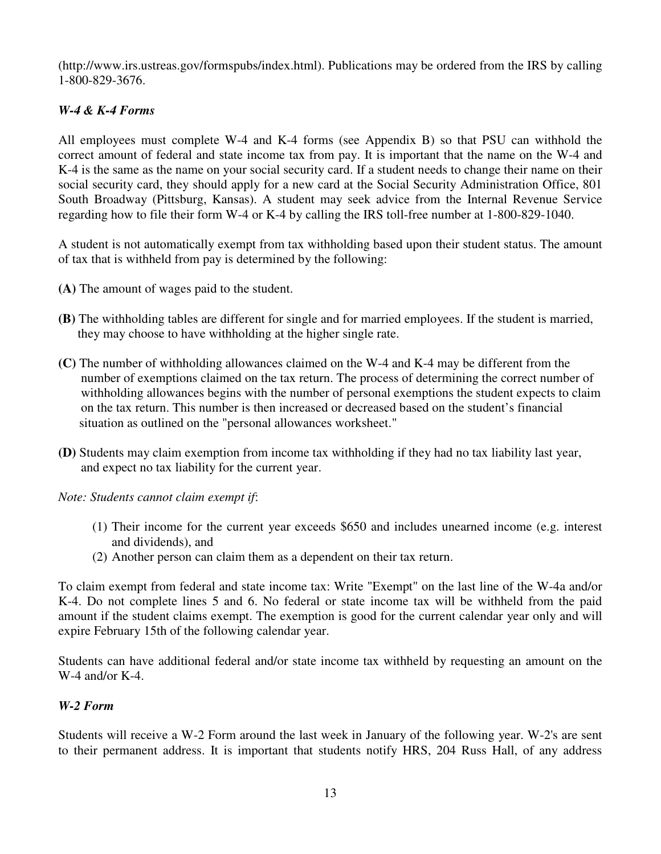(http://www.irs.ustreas.gov/formspubs/index.html). Publications may be ordered from the IRS by calling 1-800-829-3676.

# *W-4 & K-4 Forms*

All employees must complete W-4 and K-4 forms (see Appendix B) so that PSU can withhold the correct amount of federal and state income tax from pay. It is important that the name on the W-4 and K-4 is the same as the name on your social security card. If a student needs to change their name on their social security card, they should apply for a new card at the Social Security Administration Office, 801 South Broadway (Pittsburg, Kansas). A student may seek advice from the Internal Revenue Service regarding how to file their form W-4 or K-4 by calling the IRS toll-free number at 1-800-829-1040.

A student is not automatically exempt from tax withholding based upon their student status. The amount of tax that is withheld from pay is determined by the following:

- **(A)** The amount of wages paid to the student.
- **(B)** The withholding tables are different for single and for married employees. If the student is married, they may choose to have withholding at the higher single rate.
- **(C)** The number of withholding allowances claimed on the W-4 and K-4 may be different from the number of exemptions claimed on the tax return. The process of determining the correct number of withholding allowances begins with the number of personal exemptions the student expects to claim on the tax return. This number is then increased or decreased based on the student's financial situation as outlined on the "personal allowances worksheet."
- **(D)** Students may claim exemption from income tax withholding if they had no tax liability last year, and expect no tax liability for the current year.

*Note: Students cannot claim exempt if*:

- (1) Their income for the current year exceeds \$650 and includes unearned income (e.g. interest and dividends), and
- (2) Another person can claim them as a dependent on their tax return.

To claim exempt from federal and state income tax: Write "Exempt" on the last line of the W-4a and/or K-4. Do not complete lines 5 and 6. No federal or state income tax will be withheld from the paid amount if the student claims exempt. The exemption is good for the current calendar year only and will expire February 15th of the following calendar year.

Students can have additional federal and/or state income tax withheld by requesting an amount on the W-4 and/or K-4.

# *W-2 Form*

Students will receive a W-2 Form around the last week in January of the following year. W-2's are sent to their permanent address. It is important that students notify HRS, 204 Russ Hall, of any address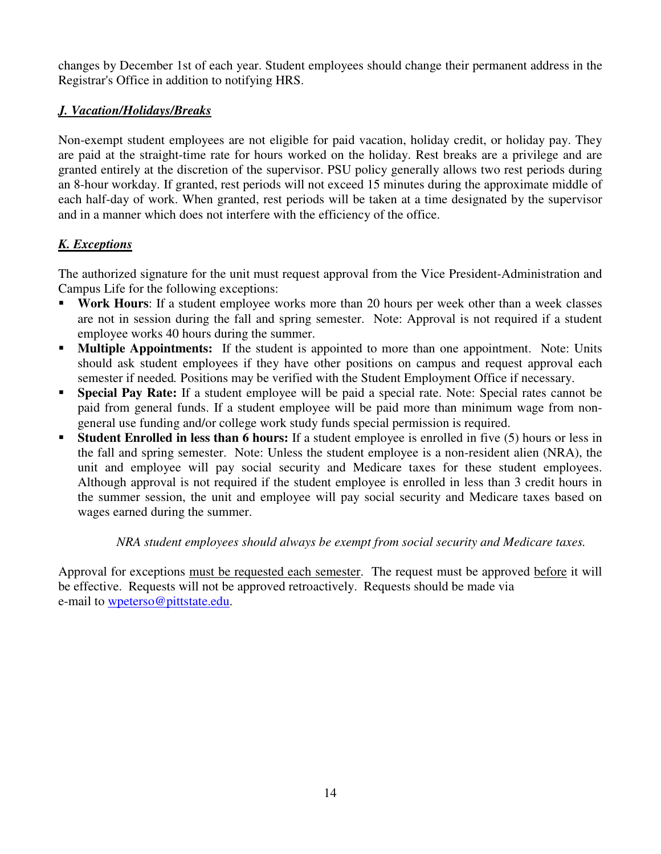changes by December 1st of each year. Student employees should change their permanent address in the Registrar's Office in addition to notifying HRS.

# *J. Vacation/Holidays/Breaks*

Non-exempt student employees are not eligible for paid vacation, holiday credit, or holiday pay. They are paid at the straight-time rate for hours worked on the holiday. Rest breaks are a privilege and are granted entirely at the discretion of the supervisor. PSU policy generally allows two rest periods during an 8-hour workday. If granted, rest periods will not exceed 15 minutes during the approximate middle of each half-day of work. When granted, rest periods will be taken at a time designated by the supervisor and in a manner which does not interfere with the efficiency of the office.

# *K. Exceptions*

The authorized signature for the unit must request approval from the Vice President-Administration and Campus Life for the following exceptions:

- **Work Hours:** If a student employee works more than 20 hours per week other than a week classes are not in session during the fall and spring semester. Note: Approval is not required if a student employee works 40 hours during the summer.
- **Multiple Appointments:** If the student is appointed to more than one appointment. Note: Units should ask student employees if they have other positions on campus and request approval each semester if needed*.* Positions may be verified with the Student Employment Office if necessary.
- **Special Pay Rate:** If a student employee will be paid a special rate. Note: Special rates cannot be paid from general funds. If a student employee will be paid more than minimum wage from nongeneral use funding and/or college work study funds special permission is required.
- **Student Enrolled in less than 6 hours:** If a student employee is enrolled in five (5) hours or less in the fall and spring semester. Note: Unless the student employee is a non-resident alien (NRA), the unit and employee will pay social security and Medicare taxes for these student employees. Although approval is not required if the student employee is enrolled in less than 3 credit hours in the summer session, the unit and employee will pay social security and Medicare taxes based on wages earned during the summer.

# *NRA student employees should always be exempt from social security and Medicare taxes.*

Approval for exceptions must be requested each semester. The request must be approved before it will be effective. Requests will not be approved retroactively. Requests should be made via e-mail to wpeterso@pittstate.edu.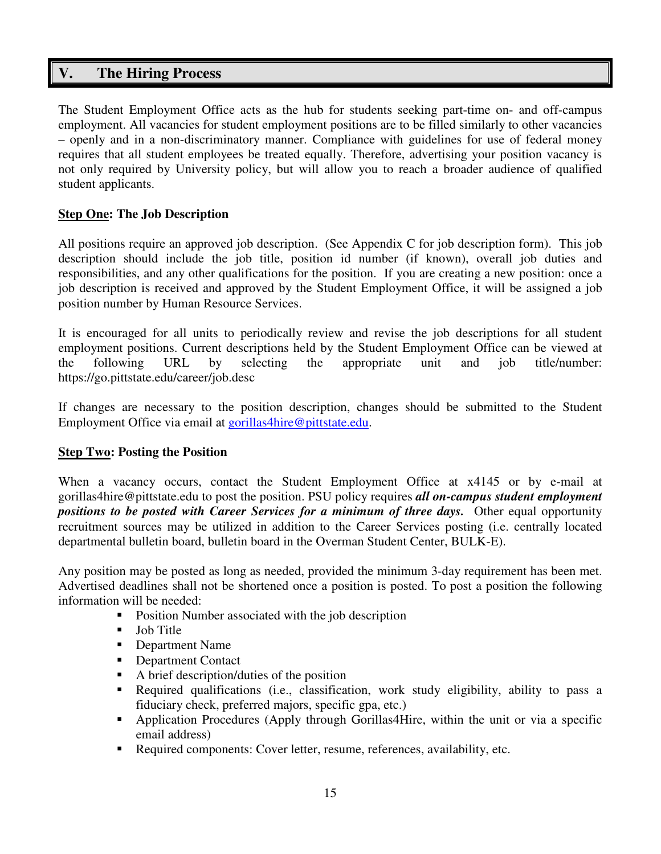# **V. The Hiring Process**

The Student Employment Office acts as the hub for students seeking part-time on- and off-campus employment. All vacancies for student employment positions are to be filled similarly to other vacancies – openly and in a non-discriminatory manner. Compliance with guidelines for use of federal money requires that all student employees be treated equally. Therefore, advertising your position vacancy is not only required by University policy, but will allow you to reach a broader audience of qualified student applicants.

# **Step One: The Job Description**

All positions require an approved job description. (See Appendix C for job description form). This job description should include the job title, position id number (if known), overall job duties and responsibilities, and any other qualifications for the position. If you are creating a new position: once a job description is received and approved by the Student Employment Office, it will be assigned a job position number by Human Resource Services.

It is encouraged for all units to periodically review and revise the job descriptions for all student employment positions. Current descriptions held by the Student Employment Office can be viewed at the following URL by selecting the appropriate unit and job title/number: https://go.pittstate.edu/career/job.desc

If changes are necessary to the position description, changes should be submitted to the Student Employment Office via email at gorillas4hire@pittstate.edu.

# **Step Two: Posting the Position**

When a vacancy occurs, contact the Student Employment Office at x4145 or by e-mail at gorillas4hire@pittstate.edu to post the position. PSU policy requires *all on-campus student employment positions to be posted with Career Services for a minimum of three days.* Other equal opportunity recruitment sources may be utilized in addition to the Career Services posting (i.e. centrally located departmental bulletin board, bulletin board in the Overman Student Center, BULK-E).

Any position may be posted as long as needed, provided the minimum 3-day requirement has been met. Advertised deadlines shall not be shortened once a position is posted. To post a position the following information will be needed:

- Position Number associated with the job description
- **Job Title**
- **•** Department Name
- Department Contact
- A brief description/duties of the position
- Required qualifications (i.e., classification, work study eligibility, ability to pass a fiduciary check, preferred majors, specific gpa, etc.)
- Application Procedures (Apply through Gorillas4Hire, within the unit or via a specific email address)
- Required components: Cover letter, resume, references, availability, etc.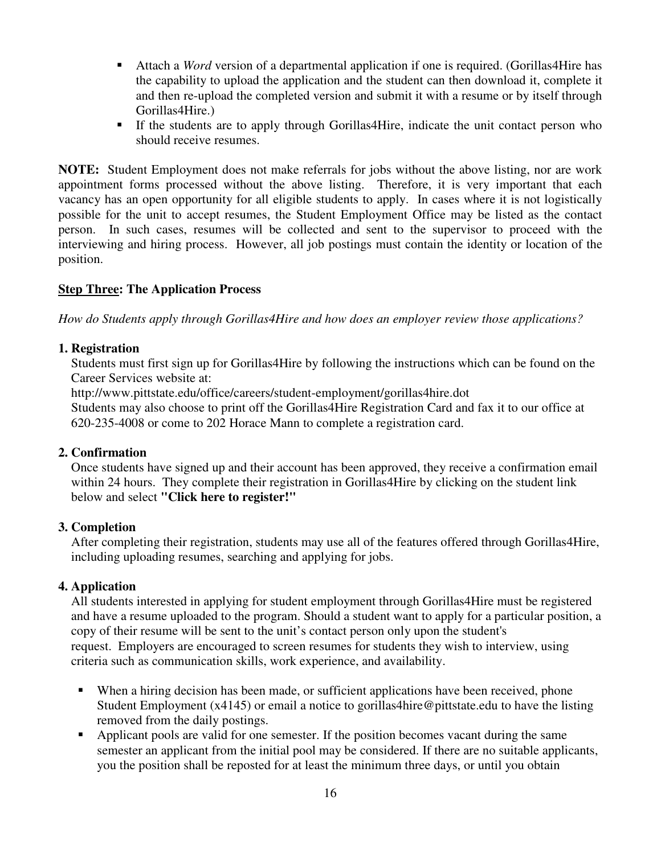- Attach a *Word* version of a departmental application if one is required. (Gorillas4Hire has the capability to upload the application and the student can then download it, complete it and then re-upload the completed version and submit it with a resume or by itself through Gorillas4Hire.)
- If the students are to apply through Gorillas4Hire, indicate the unit contact person who should receive resumes.

**NOTE:** Student Employment does not make referrals for jobs without the above listing, nor are work appointment forms processed without the above listing. Therefore, it is very important that each vacancy has an open opportunity for all eligible students to apply. In cases where it is not logistically possible for the unit to accept resumes, the Student Employment Office may be listed as the contact person. In such cases, resumes will be collected and sent to the supervisor to proceed with the interviewing and hiring process. However, all job postings must contain the identity or location of the position.

# **Step Three: The Application Process**

*How do Students apply through Gorillas4Hire and how does an employer review those applications?* 

# **1. Registration**

Students must first sign up for Gorillas4Hire by following the instructions which can be found on the Career Services website at:

http://www.pittstate.edu/office/careers/student-employment/gorillas4hire.dot

 Students may also choose to print off the Gorillas4Hire Registration Card and fax it to our office at 620-235-4008 or come to 202 Horace Mann to complete a registration card.

#### **2. Confirmation**

 Once students have signed up and their account has been approved, they receive a confirmation email within 24 hours. They complete their registration in Gorillas4Hire by clicking on the student link below and select **"Click here to register!"**

#### **3. Completion**

After completing their registration, students may use all of the features offered through Gorillas4Hire, including uploading resumes, searching and applying for jobs.

# **4. Application**

All students interested in applying for student employment through Gorillas4Hire must be registered and have a resume uploaded to the program. Should a student want to apply for a particular position, a copy of their resume will be sent to the unit's contact person only upon the student's request. Employers are encouraged to screen resumes for students they wish to interview, using criteria such as communication skills, work experience, and availability.

- When a hiring decision has been made, or sufficient applications have been received, phone Student Employment (x4145) or email a notice to gorillas4hire@pittstate.edu to have the listing removed from the daily postings.
- Applicant pools are valid for one semester. If the position becomes vacant during the same semester an applicant from the initial pool may be considered. If there are no suitable applicants, you the position shall be reposted for at least the minimum three days, or until you obtain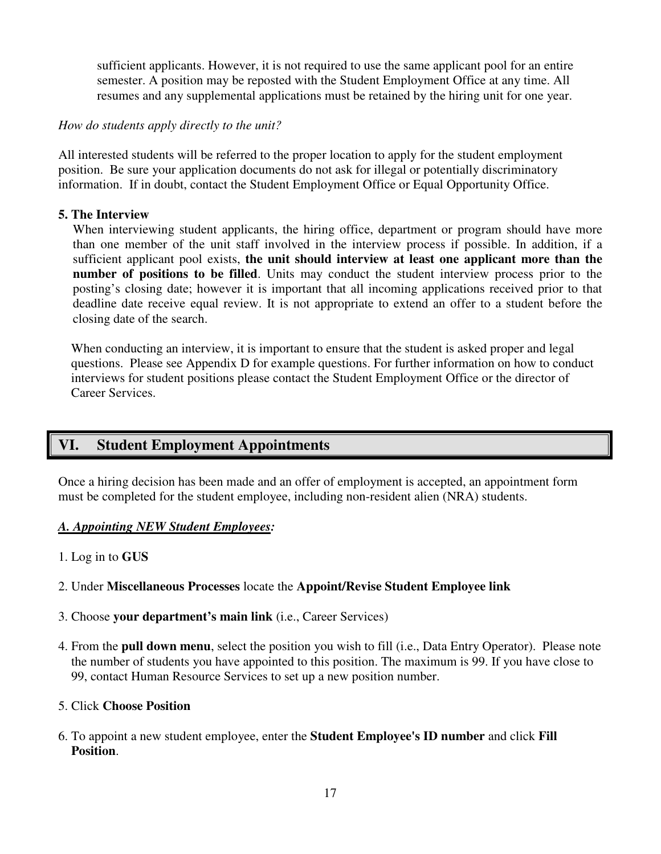sufficient applicants. However, it is not required to use the same applicant pool for an entire semester. A position may be reposted with the Student Employment Office at any time. All resumes and any supplemental applications must be retained by the hiring unit for one year.

# *How do students apply directly to the unit?*

All interested students will be referred to the proper location to apply for the student employment position. Be sure your application documents do not ask for illegal or potentially discriminatory information. If in doubt, contact the Student Employment Office or Equal Opportunity Office.

# **5. The Interview**

When interviewing student applicants, the hiring office, department or program should have more than one member of the unit staff involved in the interview process if possible. In addition, if a sufficient applicant pool exists, **the unit should interview at least one applicant more than the number of positions to be filled**. Units may conduct the student interview process prior to the posting's closing date; however it is important that all incoming applications received prior to that deadline date receive equal review. It is not appropriate to extend an offer to a student before the closing date of the search.

When conducting an interview, it is important to ensure that the student is asked proper and legal questions. Please see Appendix D for example questions. For further information on how to conduct interviews for student positions please contact the Student Employment Office or the director of Career Services.

# **VI. Student Employment Appointments**

Once a hiring decision has been made and an offer of employment is accepted, an appointment form must be completed for the student employee, including non-resident alien (NRA) students.

#### *A. Appointing NEW Student Employees:*

1. Log in to **GUS**

# 2. Under **Miscellaneous Processes** locate the **Appoint/Revise Student Employee link**

- 3. Choose **your department's main link** (i.e., Career Services)
- 4. From the **pull down menu**, select the position you wish to fill (i.e., Data Entry Operator). Please note the number of students you have appointed to this position. The maximum is 99. If you have close to 99, contact Human Resource Services to set up a new position number.

### 5. Click **Choose Position**

6. To appoint a new student employee, enter the **Student Employee's ID number** and click **Fill Position**.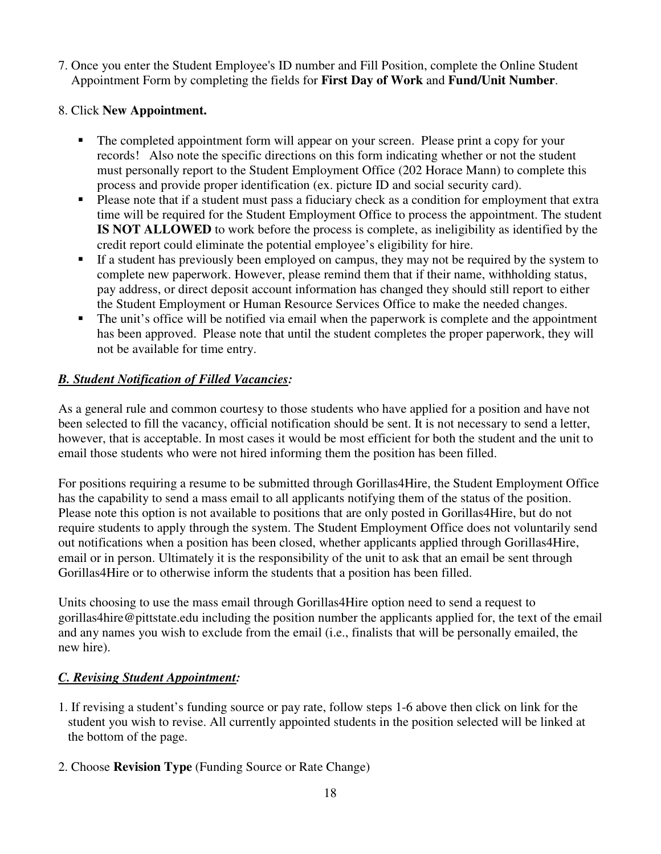7. Once you enter the Student Employee's ID number and Fill Position, complete the Online Student Appointment Form by completing the fields for **First Day of Work** and **Fund/Unit Number**.

# 8. Click **New Appointment.**

- The completed appointment form will appear on your screen. Please print a copy for your records! Also note the specific directions on this form indicating whether or not the student must personally report to the Student Employment Office (202 Horace Mann) to complete this process and provide proper identification (ex. picture ID and social security card).
- Please note that if a student must pass a fiduciary check as a condition for employment that extra time will be required for the Student Employment Office to process the appointment. The student **IS NOT ALLOWED** to work before the process is complete, as ineligibility as identified by the credit report could eliminate the potential employee's eligibility for hire.
- If a student has previously been employed on campus, they may not be required by the system to complete new paperwork. However, please remind them that if their name, withholding status, pay address, or direct deposit account information has changed they should still report to either the Student Employment or Human Resource Services Office to make the needed changes.
- The unit's office will be notified via email when the paperwork is complete and the appointment has been approved. Please note that until the student completes the proper paperwork, they will not be available for time entry.

# *B. Student Notification of Filled Vacancies:*

As a general rule and common courtesy to those students who have applied for a position and have not been selected to fill the vacancy, official notification should be sent. It is not necessary to send a letter, however, that is acceptable. In most cases it would be most efficient for both the student and the unit to email those students who were not hired informing them the position has been filled.

For positions requiring a resume to be submitted through Gorillas4Hire, the Student Employment Office has the capability to send a mass email to all applicants notifying them of the status of the position. Please note this option is not available to positions that are only posted in Gorillas4Hire, but do not require students to apply through the system. The Student Employment Office does not voluntarily send out notifications when a position has been closed, whether applicants applied through Gorillas4Hire, email or in person. Ultimately it is the responsibility of the unit to ask that an email be sent through Gorillas4Hire or to otherwise inform the students that a position has been filled.

Units choosing to use the mass email through Gorillas4Hire option need to send a request to gorillas4hire@pittstate.edu including the position number the applicants applied for, the text of the email and any names you wish to exclude from the email (i.e., finalists that will be personally emailed, the new hire).

# *C. Revising Student Appointment:*

- 1. If revising a student's funding source or pay rate, follow steps 1-6 above then click on link for the student you wish to revise. All currently appointed students in the position selected will be linked at the bottom of the page.
- 2. Choose **Revision Type** (Funding Source or Rate Change)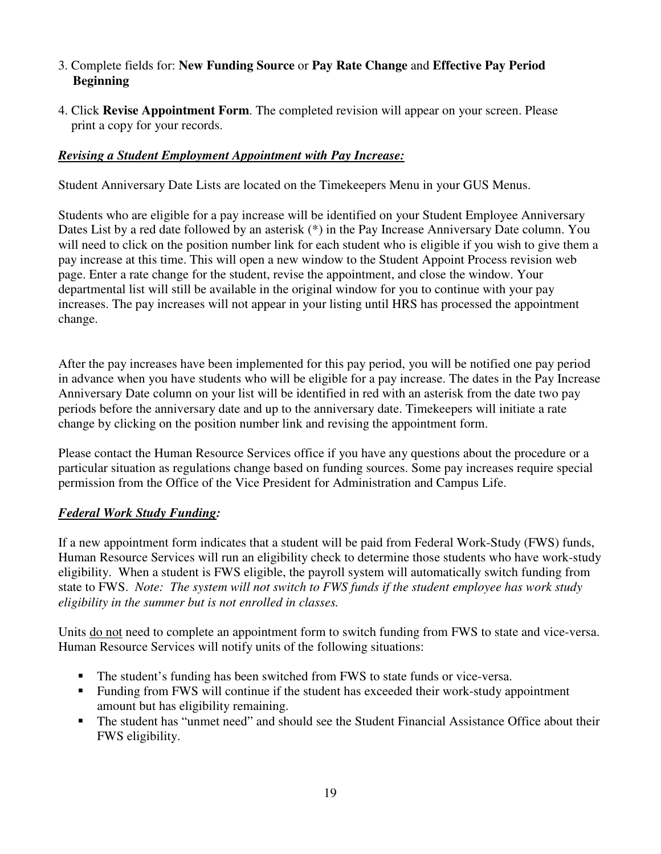# 3. Complete fields for: **New Funding Source** or **Pay Rate Change** and **Effective Pay Period Beginning**

4. Click **Revise Appointment Form**. The completed revision will appear on your screen. Please print a copy for your records.

# *Revising a Student Employment Appointment with Pay Increase:*

Student Anniversary Date Lists are located on the Timekeepers Menu in your GUS Menus.

Students who are eligible for a pay increase will be identified on your Student Employee Anniversary Dates List by a red date followed by an asterisk (\*) in the Pay Increase Anniversary Date column. You will need to click on the position number link for each student who is eligible if you wish to give them a pay increase at this time. This will open a new window to the Student Appoint Process revision web page. Enter a rate change for the student, revise the appointment, and close the window. Your departmental list will still be available in the original window for you to continue with your pay increases. The pay increases will not appear in your listing until HRS has processed the appointment change.

After the pay increases have been implemented for this pay period, you will be notified one pay period in advance when you have students who will be eligible for a pay increase. The dates in the Pay Increase Anniversary Date column on your list will be identified in red with an asterisk from the date two pay periods before the anniversary date and up to the anniversary date. Timekeepers will initiate a rate change by clicking on the position number link and revising the appointment form.

Please contact the Human Resource Services office if you have any questions about the procedure or a particular situation as regulations change based on funding sources. Some pay increases require special permission from the Office of the Vice President for Administration and Campus Life.

# *Federal Work Study Funding:*

If a new appointment form indicates that a student will be paid from Federal Work-Study (FWS) funds, Human Resource Services will run an eligibility check to determine those students who have work-study eligibility. When a student is FWS eligible, the payroll system will automatically switch funding from state to FWS. *Note: The system will not switch to FWS funds if the student employee has work study eligibility in the summer but is not enrolled in classes.* 

Units do not need to complete an appointment form to switch funding from FWS to state and vice-versa. Human Resource Services will notify units of the following situations:

- The student's funding has been switched from FWS to state funds or vice-versa.
- Funding from FWS will continue if the student has exceeded their work-study appointment amount but has eligibility remaining.
- The student has "unmet need" and should see the Student Financial Assistance Office about their FWS eligibility.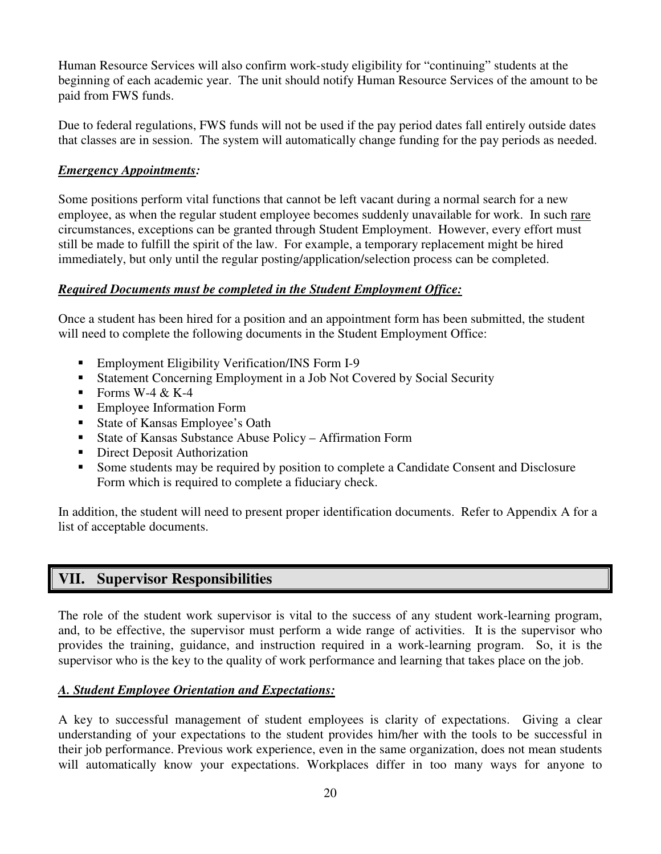Human Resource Services will also confirm work-study eligibility for "continuing" students at the beginning of each academic year. The unit should notify Human Resource Services of the amount to be paid from FWS funds.

Due to federal regulations, FWS funds will not be used if the pay period dates fall entirely outside dates that classes are in session. The system will automatically change funding for the pay periods as needed.

# *Emergency Appointments:*

Some positions perform vital functions that cannot be left vacant during a normal search for a new employee, as when the regular student employee becomes suddenly unavailable for work. In such rare circumstances, exceptions can be granted through Student Employment. However, every effort must still be made to fulfill the spirit of the law. For example, a temporary replacement might be hired immediately, but only until the regular posting/application/selection process can be completed.

# *Required Documents must be completed in the Student Employment Office:*

Once a student has been hired for a position and an appointment form has been submitted, the student will need to complete the following documents in the Student Employment Office:

- **Employment Eligibility Verification/INS Form I-9**
- Statement Concerning Employment in a Job Not Covered by Social Security
- Forms W-4 & K-4
- Employee Information Form
- State of Kansas Employee's Oath
- State of Kansas Substance Abuse Policy Affirmation Form
- Direct Deposit Authorization
- Some students may be required by position to complete a Candidate Consent and Disclosure Form which is required to complete a fiduciary check.

In addition, the student will need to present proper identification documents. Refer to Appendix A for a list of acceptable documents.

# **VII. Supervisor Responsibilities**

The role of the student work supervisor is vital to the success of any student work-learning program, and, to be effective, the supervisor must perform a wide range of activities. It is the supervisor who provides the training, guidance, and instruction required in a work-learning program. So, it is the supervisor who is the key to the quality of work performance and learning that takes place on the job.

# *A. Student Employee Orientation and Expectations:*

A key to successful management of student employees is clarity of expectations. Giving a clear understanding of your expectations to the student provides him/her with the tools to be successful in their job performance. Previous work experience, even in the same organization, does not mean students will automatically know your expectations. Workplaces differ in too many ways for anyone to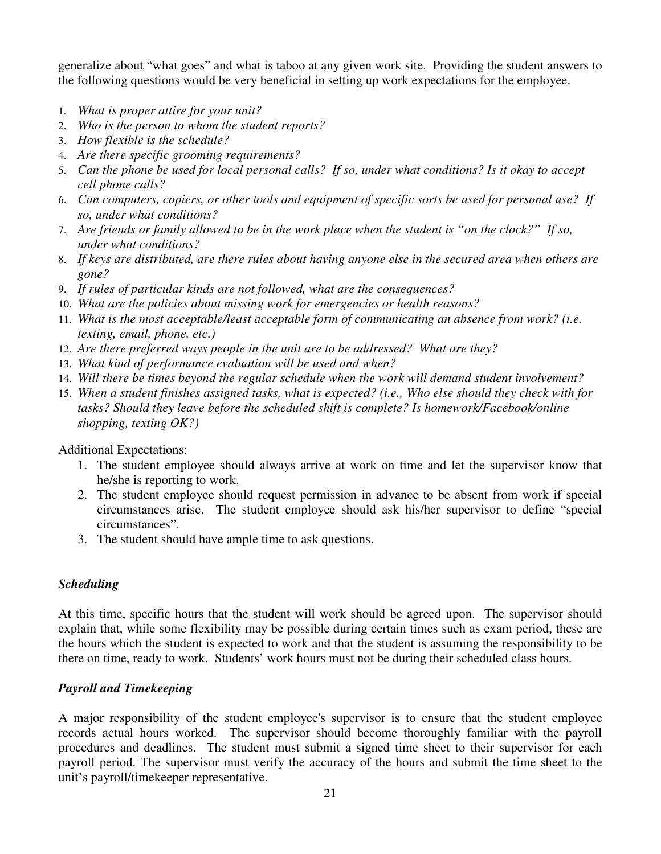generalize about "what goes" and what is taboo at any given work site. Providing the student answers to the following questions would be very beneficial in setting up work expectations for the employee.

- 1. *What is proper attire for your unit?*
- 2. *Who is the person to whom the student reports?*
- 3. *How flexible is the schedule?*
- 4. *Are there specific grooming requirements?*
- 5. *Can the phone be used for local personal calls? If so, under what conditions? Is it okay to accept cell phone calls?*
- 6. *Can computers, copiers, or other tools and equipment of specific sorts be used for personal use? If so, under what conditions?*
- 7. *Are friends or family allowed to be in the work place when the student is "on the clock?" If so, under what conditions?*
- 8. *If keys are distributed, are there rules about having anyone else in the secured area when others are gone?*
- 9. *If rules of particular kinds are not followed, what are the consequences?*
- 10. *What are the policies about missing work for emergencies or health reasons?*
- 11. *What is the most acceptable/least acceptable form of communicating an absence from work? (i.e. texting, email, phone, etc.)*
- 12. *Are there preferred ways people in the unit are to be addressed? What are they?*
- 13. *What kind of performance evaluation will be used and when?*
- 14. *Will there be times beyond the regular schedule when the work will demand student involvement?*
- 15. *When a student finishes assigned tasks, what is expected? (i.e., Who else should they check with for tasks? Should they leave before the scheduled shift is complete? Is homework/Facebook/online shopping, texting OK?)*

Additional Expectations:

- 1. The student employee should always arrive at work on time and let the supervisor know that he/she is reporting to work.
- 2. The student employee should request permission in advance to be absent from work if special circumstances arise. The student employee should ask his/her supervisor to define "special circumstances".
- 3. The student should have ample time to ask questions.

# *Scheduling*

At this time, specific hours that the student will work should be agreed upon. The supervisor should explain that, while some flexibility may be possible during certain times such as exam period, these are the hours which the student is expected to work and that the student is assuming the responsibility to be there on time, ready to work. Students' work hours must not be during their scheduled class hours.

# *Payroll and Timekeeping*

A major responsibility of the student employee's supervisor is to ensure that the student employee records actual hours worked. The supervisor should become thoroughly familiar with the payroll procedures and deadlines. The student must submit a signed time sheet to their supervisor for each payroll period. The supervisor must verify the accuracy of the hours and submit the time sheet to the unit's payroll/timekeeper representative.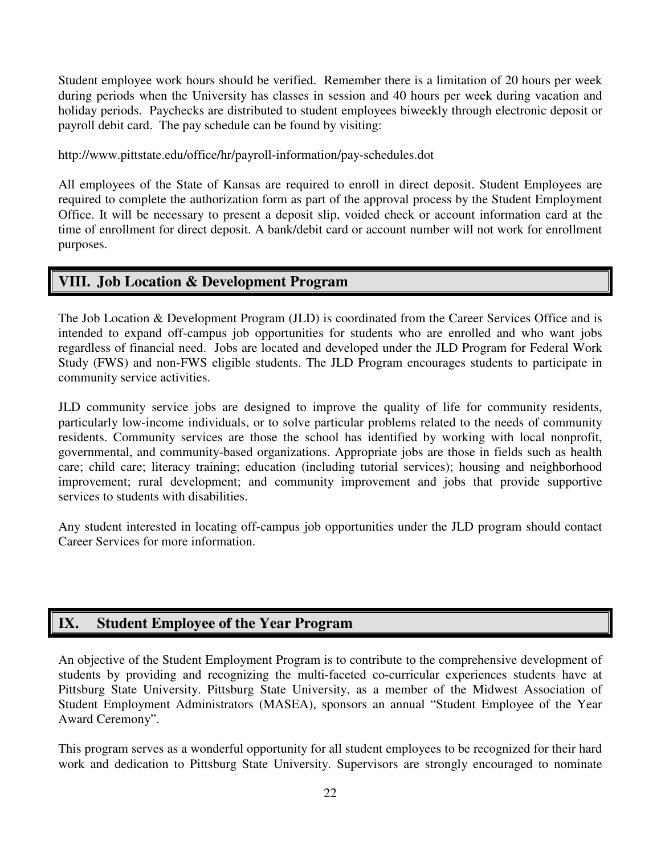Student employee work hours should be verified. Remember there is a limitation of 20 hours per week during periods when the University has classes in session and 40 hours per week during vacation and holiday periods. Paychecks are distributed to student employees biweekly through electronic deposit or payroll debit card. The pay schedule can be found by visiting:

http://www.pittstate.edu/office/hr/payroll-information/pay-schedules.dot

All employees of the State of Kansas are required to enroll in direct deposit. Student Employees are required to complete the authorization form as part of the approval process by the Student Employment Office. It will be necessary to present a deposit slip, voided check or account information card at the time of enrollment for direct deposit. A bank/debit card or account number will not work for enrollment purposes.

# **VIII. Job Location & Development Program**

The Job Location & Development Program (JLD) is coordinated from the Career Services Office and is intended to expand off-campus job opportunities for students who are enrolled and who want jobs regardless of financial need. Jobs are located and developed under the JLD Program for Federal Work Study (FWS) and non-FWS eligible students. The JLD Program encourages students to participate in community service activities.

JLD community service jobs are designed to improve the quality of life for community residents, particularly low-income individuals, or to solve particular problems related to the needs of community residents. Community services are those the school has identified by working with local nonprofit, governmental, and community-based organizations. Appropriate jobs are those in fields such as health care; child care; literacy training; education (including tutorial services); housing and neighborhood improvement; rural development; and community improvement and jobs that provide supportive services to students with disabilities.

Any student interested in locating off-campus job opportunities under the JLD program should contact Career Services for more information.

# **IX. Student Employee of the Year Program**

An objective of the Student Employment Program is to contribute to the comprehensive development of students by providing and recognizing the multi-faceted co-curricular experiences students have at Pittsburg State University. Pittsburg State University, as a member of the Midwest Association of Student Employment Administrators (MASEA), sponsors an annual "Student Employee of the Year Award Ceremony".

This program serves as a wonderful opportunity for all student employees to be recognized for their hard work and dedication to Pittsburg State University. Supervisors are strongly encouraged to nominate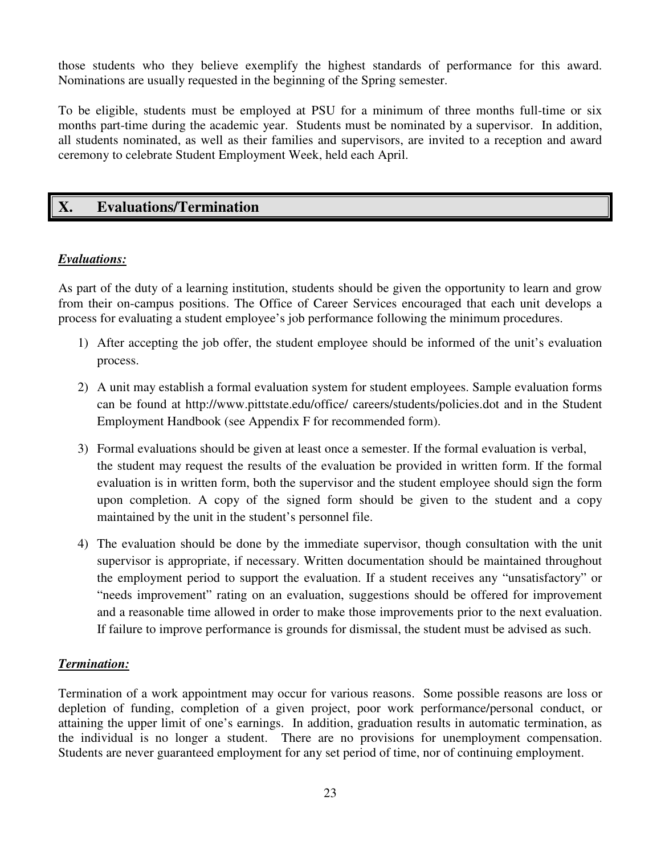those students who they believe exemplify the highest standards of performance for this award. Nominations are usually requested in the beginning of the Spring semester.

To be eligible, students must be employed at PSU for a minimum of three months full-time or six months part-time during the academic year. Students must be nominated by a supervisor. In addition, all students nominated, as well as their families and supervisors, are invited to a reception and award ceremony to celebrate Student Employment Week, held each April.

# **X. Evaluations/Termination**

# *Evaluations:*

As part of the duty of a learning institution, students should be given the opportunity to learn and grow from their on-campus positions. The Office of Career Services encouraged that each unit develops a process for evaluating a student employee's job performance following the minimum procedures.

- 1) After accepting the job offer, the student employee should be informed of the unit's evaluation process.
- 2) A unit may establish a formal evaluation system for student employees. Sample evaluation forms can be found at http://www.pittstate.edu/office/ careers/students/policies.dot and in the Student Employment Handbook (see Appendix F for recommended form).
- 3) Formal evaluations should be given at least once a semester. If the formal evaluation is verbal, the student may request the results of the evaluation be provided in written form. If the formal evaluation is in written form, both the supervisor and the student employee should sign the form upon completion. A copy of the signed form should be given to the student and a copy maintained by the unit in the student's personnel file.
- 4) The evaluation should be done by the immediate supervisor, though consultation with the unit supervisor is appropriate, if necessary. Written documentation should be maintained throughout the employment period to support the evaluation. If a student receives any "unsatisfactory" or "needs improvement" rating on an evaluation, suggestions should be offered for improvement and a reasonable time allowed in order to make those improvements prior to the next evaluation. If failure to improve performance is grounds for dismissal, the student must be advised as such.

# *Termination:*

Termination of a work appointment may occur for various reasons. Some possible reasons are loss or depletion of funding, completion of a given project, poor work performance/personal conduct, or attaining the upper limit of one's earnings. In addition, graduation results in automatic termination, as the individual is no longer a student. There are no provisions for unemployment compensation. Students are never guaranteed employment for any set period of time, nor of continuing employment.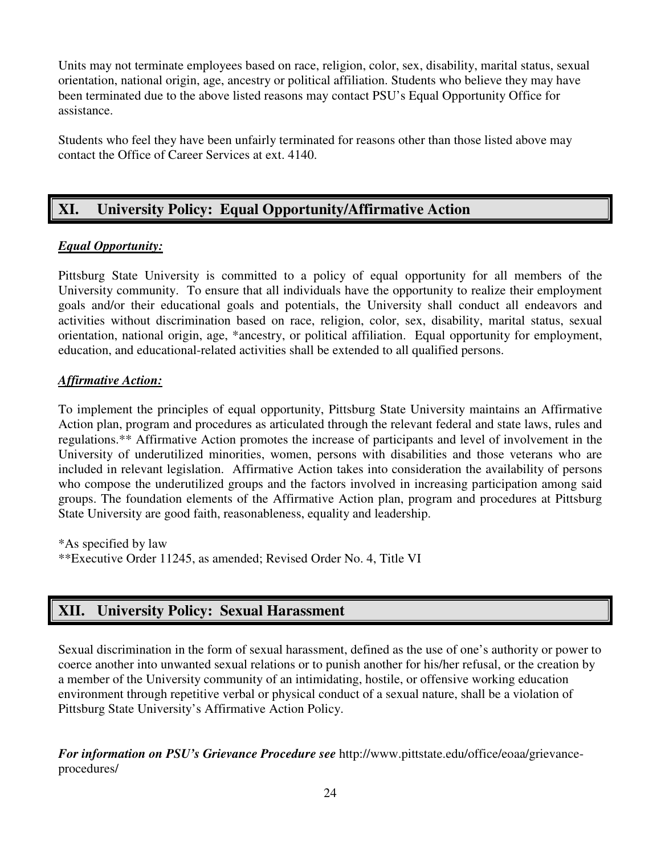Units may not terminate employees based on race, religion, color, sex, disability, marital status, sexual orientation, national origin, age, ancestry or political affiliation. Students who believe they may have been terminated due to the above listed reasons may contact PSU's Equal Opportunity Office for assistance.

Students who feel they have been unfairly terminated for reasons other than those listed above may contact the Office of Career Services at ext. 4140.

# **XI. University Policy: Equal Opportunity/Affirmative Action**

# *Equal Opportunity:*

Pittsburg State University is committed to a policy of equal opportunity for all members of the University community. To ensure that all individuals have the opportunity to realize their employment goals and/or their educational goals and potentials, the University shall conduct all endeavors and activities without discrimination based on race, religion, color, sex, disability, marital status, sexual orientation, national origin, age, \*ancestry, or political affiliation. Equal opportunity for employment, education, and educational-related activities shall be extended to all qualified persons.

# *Affirmative Action:*

To implement the principles of equal opportunity, Pittsburg State University maintains an Affirmative Action plan, program and procedures as articulated through the relevant federal and state laws, rules and regulations.\*\* Affirmative Action promotes the increase of participants and level of involvement in the University of underutilized minorities, women, persons with disabilities and those veterans who are included in relevant legislation. Affirmative Action takes into consideration the availability of persons who compose the underutilized groups and the factors involved in increasing participation among said groups. The foundation elements of the Affirmative Action plan, program and procedures at Pittsburg State University are good faith, reasonableness, equality and leadership.

\*As specified by law \*\*Executive Order 11245, as amended; Revised Order No. 4, Title VI

# **XII. University Policy: Sexual Harassment**

Sexual discrimination in the form of sexual harassment, defined as the use of one's authority or power to coerce another into unwanted sexual relations or to punish another for his/her refusal, or the creation by a member of the University community of an intimidating, hostile, or offensive working education environment through repetitive verbal or physical conduct of a sexual nature, shall be a violation of Pittsburg State University's Affirmative Action Policy.

*For information on PSU's Grievance Procedure see* http://www.pittstate.edu/office/eoaa/grievanceprocedures/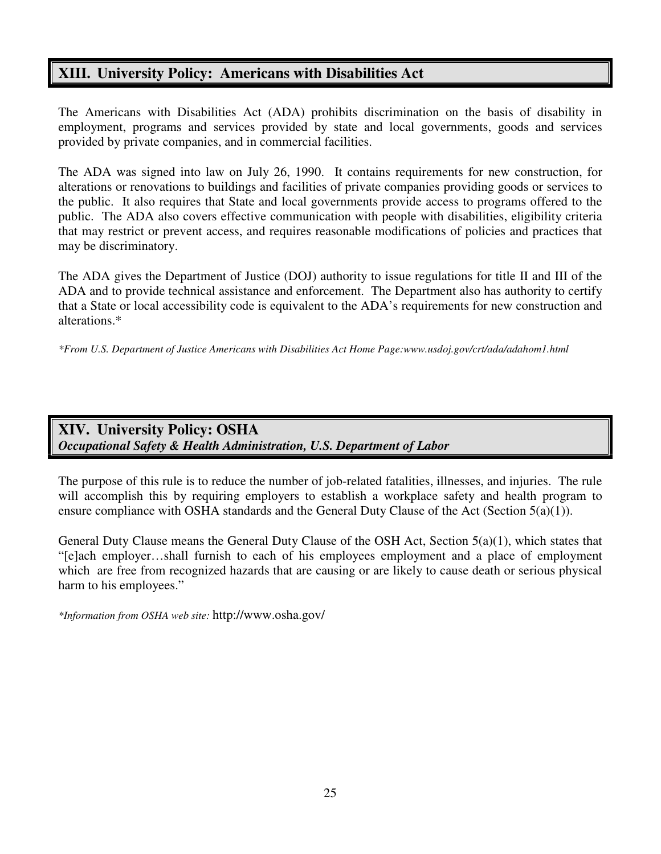# **XIII. University Policy: Americans with Disabilities Act**

The Americans with Disabilities Act (ADA) prohibits discrimination on the basis of disability in employment, programs and services provided by state and local governments, goods and services provided by private companies, and in commercial facilities.

The ADA was signed into law on July 26, 1990. It contains requirements for new construction, for alterations or renovations to buildings and facilities of private companies providing goods or services to the public. It also requires that State and local governments provide access to programs offered to the public. The ADA also covers effective communication with people with disabilities, eligibility criteria that may restrict or prevent access, and requires reasonable modifications of policies and practices that may be discriminatory.

The ADA gives the Department of Justice (DOJ) authority to issue regulations for title II and III of the ADA and to provide technical assistance and enforcement. The Department also has authority to certify that a State or local accessibility code is equivalent to the ADA's requirements for new construction and alterations.\*

*\*From U.S. Department of Justice Americans with Disabilities Act Home Page:www.usdoj.gov/crt/ada/adahom1.html* 

# **XIV. University Policy: OSHA**  *Occupational Safety & Health Administration, U.S. Department of Labor*

The purpose of this rule is to reduce the number of job-related fatalities, illnesses, and injuries. The rule will accomplish this by requiring employers to establish a workplace safety and health program to ensure compliance with OSHA standards and the General Duty Clause of the Act (Section 5(a)(1)).

General Duty Clause means the General Duty Clause of the OSH Act, Section 5(a)(1), which states that "[e]ach employer…shall furnish to each of his employees employment and a place of employment which are free from recognized hazards that are causing or are likely to cause death or serious physical harm to his employees."

*\*Information from OSHA web site:* http://www.osha.gov/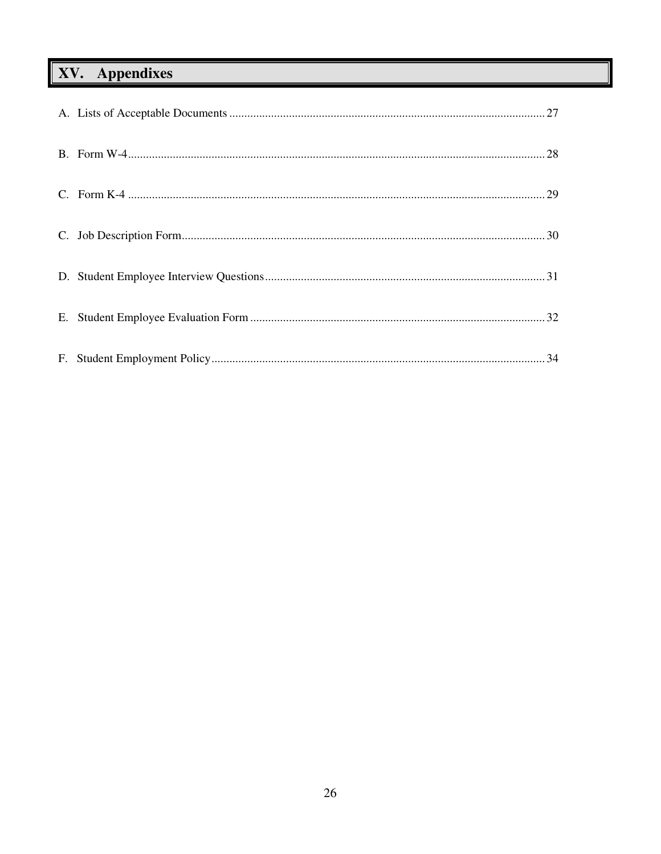# XV. Appendixes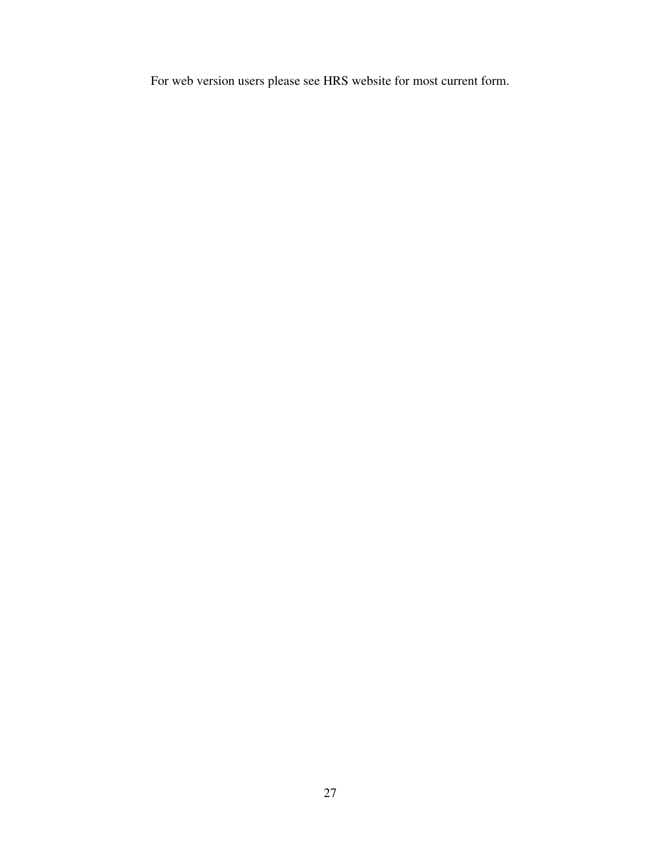For web version users please see HRS website for most current form.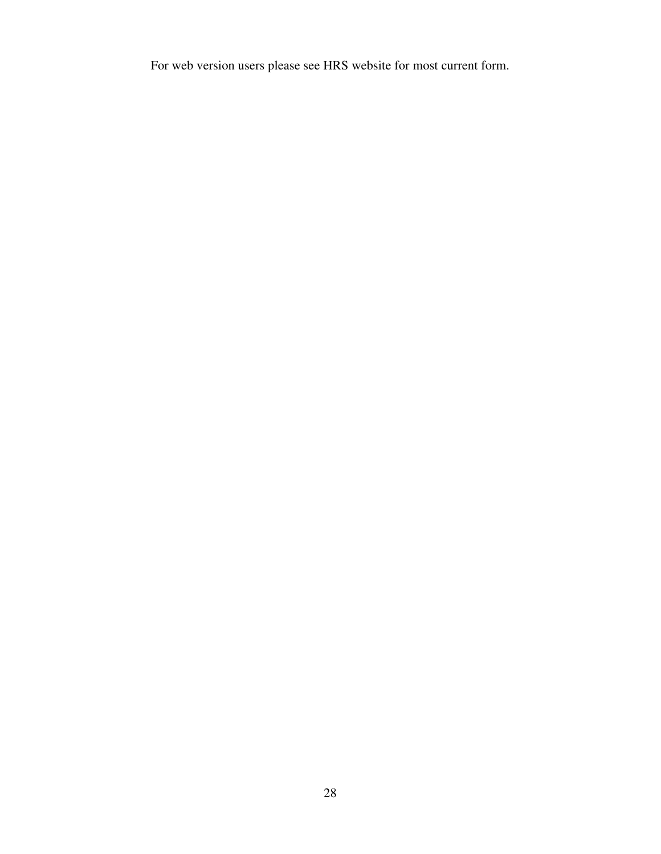For web version users please see HRS website for most current form.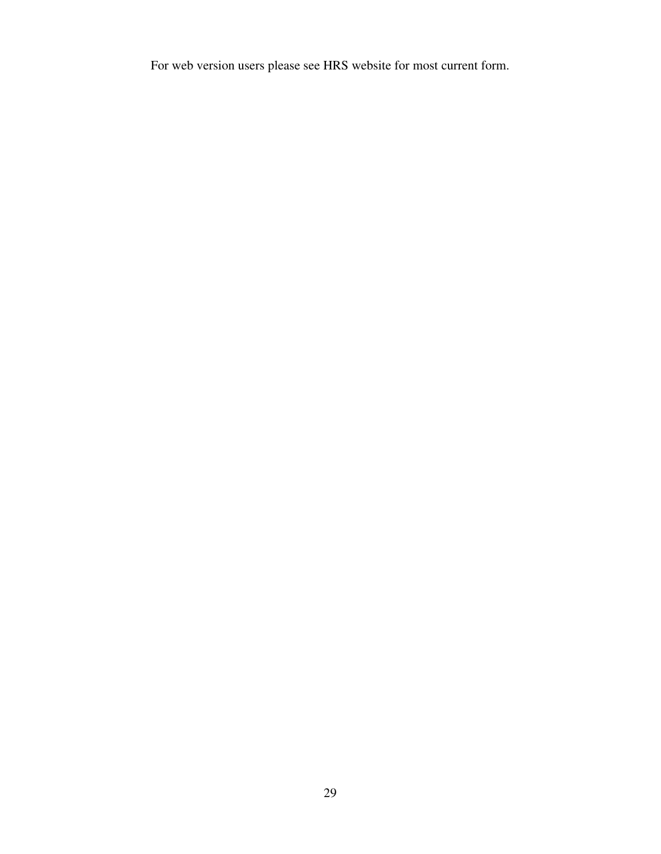For web version users please see HRS website for most current form.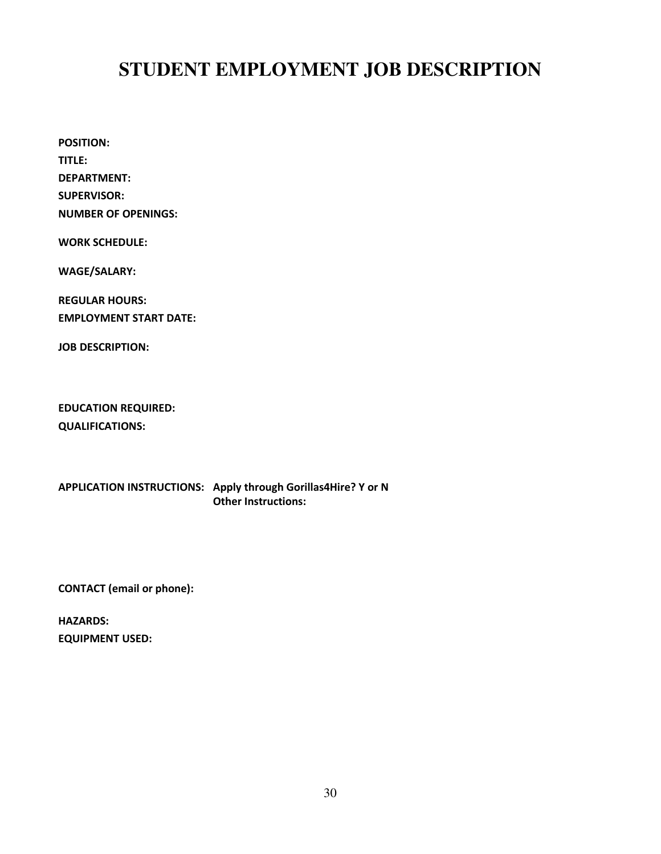# **STUDENT EMPLOYMENT JOB DESCRIPTION**

POSITION: TITLE: DEPARTMENT: SUPERVISOR: NUMBER OF OPENINGS:

WORK SCHEDULE:

WAGE/SALARY:

REGULAR HOURS: EMPLOYMENT START DATE:

JOB DESCRIPTION:

EDUCATION REQUIRED: QUALIFICATIONS:

APPLICATION INSTRUCTIONS: Apply through Gorillas4Hire? Y or N Other Instructions:

CONTACT (email or phone):

HAZARDS: EQUIPMENT USED: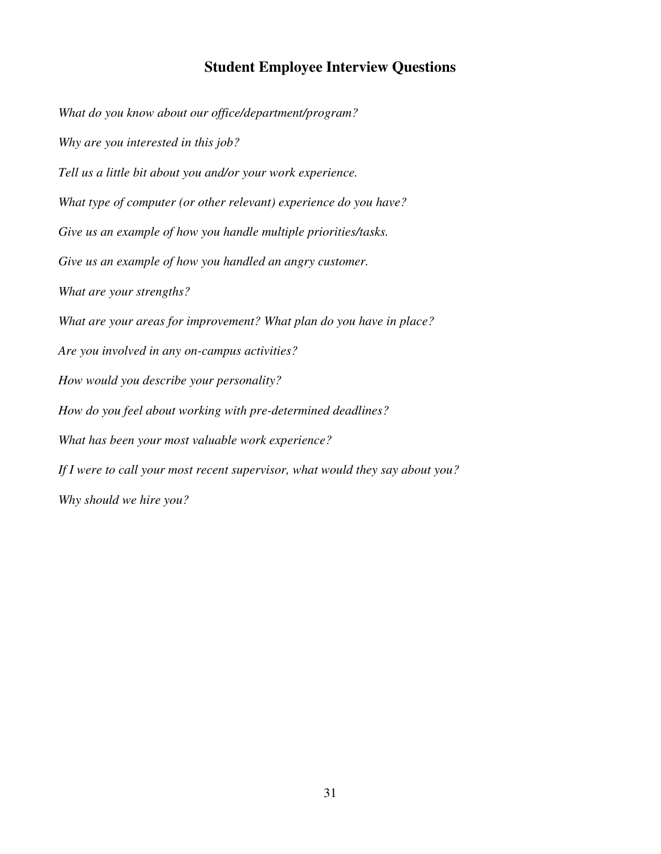# **Student Employee Interview Questions**

*What do you know about our office/department/program? Why are you interested in this job? Tell us a little bit about you and/or your work experience. What type of computer (or other relevant) experience do you have? Give us an example of how you handle multiple priorities/tasks. Give us an example of how you handled an angry customer. What are your strengths? What are your areas for improvement? What plan do you have in place? Are you involved in any on-campus activities? How would you describe your personality? How do you feel about working with pre-determined deadlines? What has been your most valuable work experience? If I were to call your most recent supervisor, what would they say about you? Why should we hire you?*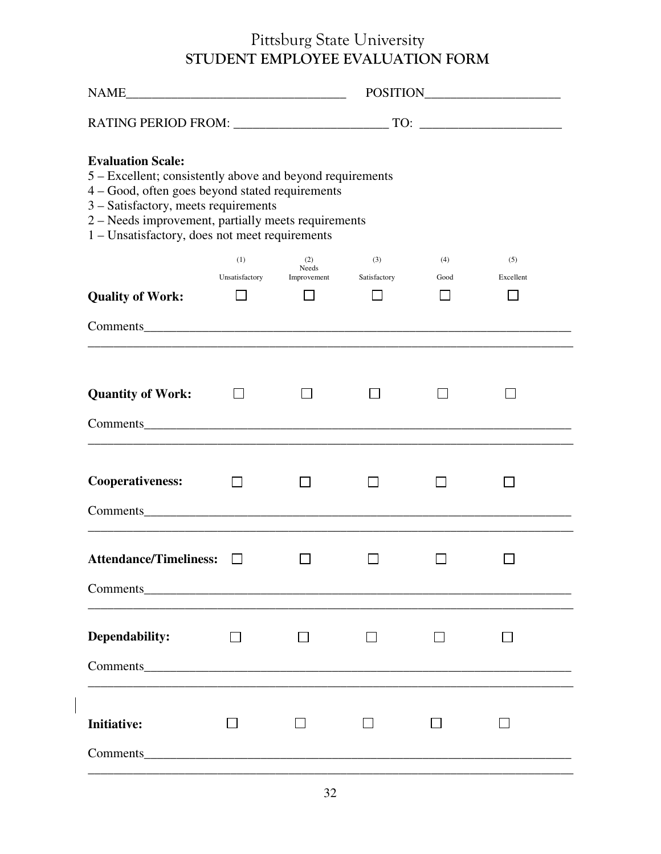# Pittsburg State University STUDENT EMPLOYEE EVALUATION FORM

| <b>Evaluation Scale:</b><br>5 – Excellent; consistently above and beyond requirements<br>4 - Good, often goes beyond stated requirements<br>3 - Satisfactory, meets requirements<br>2 - Needs improvement, partially meets requirements<br>1 – Unsatisfactory, does not meet requirements |                       |                             |                     |             |                  |  |  |  |  |
|-------------------------------------------------------------------------------------------------------------------------------------------------------------------------------------------------------------------------------------------------------------------------------------------|-----------------------|-----------------------------|---------------------|-------------|------------------|--|--|--|--|
|                                                                                                                                                                                                                                                                                           | (1)<br>Unsatisfactory | (2)<br>Needs<br>Improvement | (3)<br>Satisfactory | (4)<br>Good | (5)<br>Excellent |  |  |  |  |
| <b>Quality of Work:</b>                                                                                                                                                                                                                                                                   |                       |                             |                     |             |                  |  |  |  |  |
|                                                                                                                                                                                                                                                                                           |                       |                             |                     |             |                  |  |  |  |  |
|                                                                                                                                                                                                                                                                                           |                       |                             |                     |             |                  |  |  |  |  |
| <b>Quantity of Work:</b>                                                                                                                                                                                                                                                                  |                       |                             |                     |             |                  |  |  |  |  |
| Comments expansion of the contract of the contract of the contract of the contract of the contract of the contract of the contract of the contract of the contract of the contract of the contract of the contract of the cont                                                            |                       |                             |                     |             |                  |  |  |  |  |
| <b>Cooperativeness:</b><br>Comments Commercial Commercial Commercial Commercial Commercial Commercial Commercial Commercial Commercial Commercial Commercial Commercial Commercial Commercial Commercial Commercial Commercial Commercial Commercial Comm                                 |                       |                             |                     |             |                  |  |  |  |  |
| <b>Attendance/Timeliness:</b><br>Comments Comments                                                                                                                                                                                                                                        |                       |                             |                     |             |                  |  |  |  |  |
| Dependability:<br>Comments Comments                                                                                                                                                                                                                                                       |                       |                             |                     |             |                  |  |  |  |  |
| <b>Initiative:</b><br>Comments                                                                                                                                                                                                                                                            |                       |                             |                     |             |                  |  |  |  |  |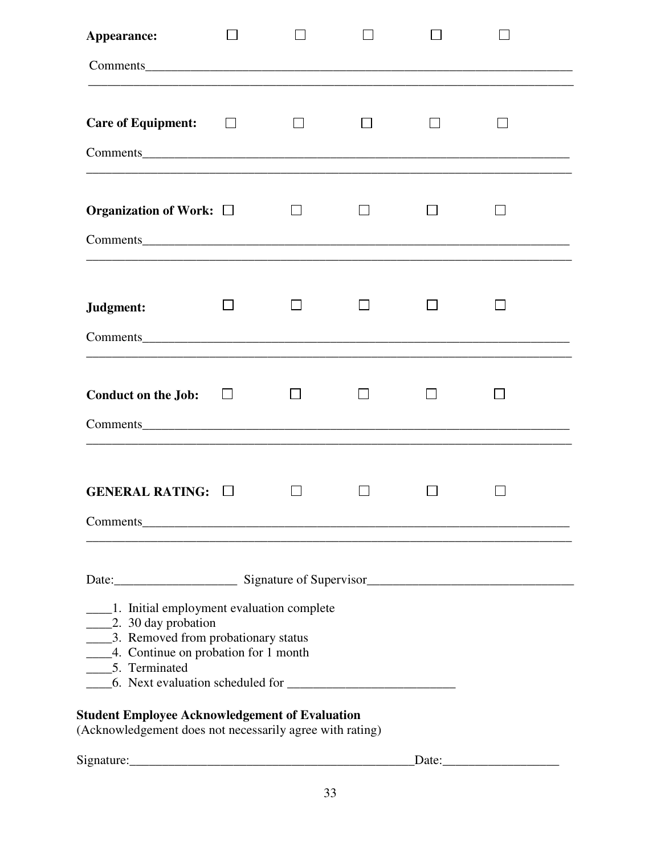| Appearance:                                                                                                                                                                                                                                                                                                                                                            |              |  |  |  |
|------------------------------------------------------------------------------------------------------------------------------------------------------------------------------------------------------------------------------------------------------------------------------------------------------------------------------------------------------------------------|--------------|--|--|--|
|                                                                                                                                                                                                                                                                                                                                                                        |              |  |  |  |
| <b>Care of Equipment:</b>                                                                                                                                                                                                                                                                                                                                              | $\mathbf{L}$ |  |  |  |
| Organization of Work: $\Box$                                                                                                                                                                                                                                                                                                                                           |              |  |  |  |
| Judgment:                                                                                                                                                                                                                                                                                                                                                              |              |  |  |  |
| <b>Conduct on the Job:</b><br>Comments expansion of the comments of the comments of the comments of the comments of the comments of the comments of the comments of the comments of the comments of the comments of the comments of the comments of the comm                                                                                                           | $\Box$       |  |  |  |
| <b>GENERAL RATING:</b><br><b>Comments Comments</b>                                                                                                                                                                                                                                                                                                                     |              |  |  |  |
| Date: Signature of Supervisor<br>1. Initial employment evaluation complete<br>2. 30 day probation<br>3. Removed from probationary status<br>____4. Continue on probation for 1 month<br>________5. Terminated<br>6. Next evaluation scheduled for<br><b>Student Employee Acknowledgement of Evaluation</b><br>(Acknowledgement does not necessarily agree with rating) |              |  |  |  |
|                                                                                                                                                                                                                                                                                                                                                                        |              |  |  |  |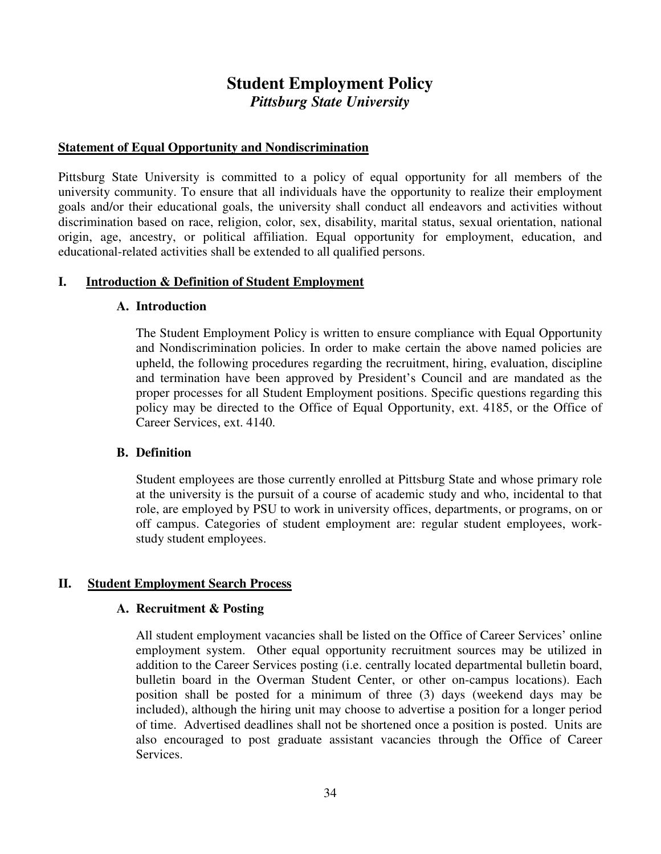# **Student Employment Policy**  *Pittsburg State University*

#### **Statement of Equal Opportunity and Nondiscrimination**

Pittsburg State University is committed to a policy of equal opportunity for all members of the university community. To ensure that all individuals have the opportunity to realize their employment goals and/or their educational goals, the university shall conduct all endeavors and activities without discrimination based on race, religion, color, sex, disability, marital status, sexual orientation, national origin, age, ancestry, or political affiliation. Equal opportunity for employment, education, and educational-related activities shall be extended to all qualified persons.

#### **I. Introduction & Definition of Student Employment**

#### **A. Introduction**

The Student Employment Policy is written to ensure compliance with Equal Opportunity and Nondiscrimination policies. In order to make certain the above named policies are upheld, the following procedures regarding the recruitment, hiring, evaluation, discipline and termination have been approved by President's Council and are mandated as the proper processes for all Student Employment positions. Specific questions regarding this policy may be directed to the Office of Equal Opportunity, ext. 4185, or the Office of Career Services, ext. 4140.

#### **B. Definition**

Student employees are those currently enrolled at Pittsburg State and whose primary role at the university is the pursuit of a course of academic study and who, incidental to that role, are employed by PSU to work in university offices, departments, or programs, on or off campus. Categories of student employment are: regular student employees, workstudy student employees.

#### **II. Student Employment Search Process**

#### **A. Recruitment & Posting**

All student employment vacancies shall be listed on the Office of Career Services' online employment system. Other equal opportunity recruitment sources may be utilized in addition to the Career Services posting (i.e. centrally located departmental bulletin board, bulletin board in the Overman Student Center, or other on-campus locations). Each position shall be posted for a minimum of three (3) days (weekend days may be included), although the hiring unit may choose to advertise a position for a longer period of time. Advertised deadlines shall not be shortened once a position is posted. Units are also encouraged to post graduate assistant vacancies through the Office of Career Services.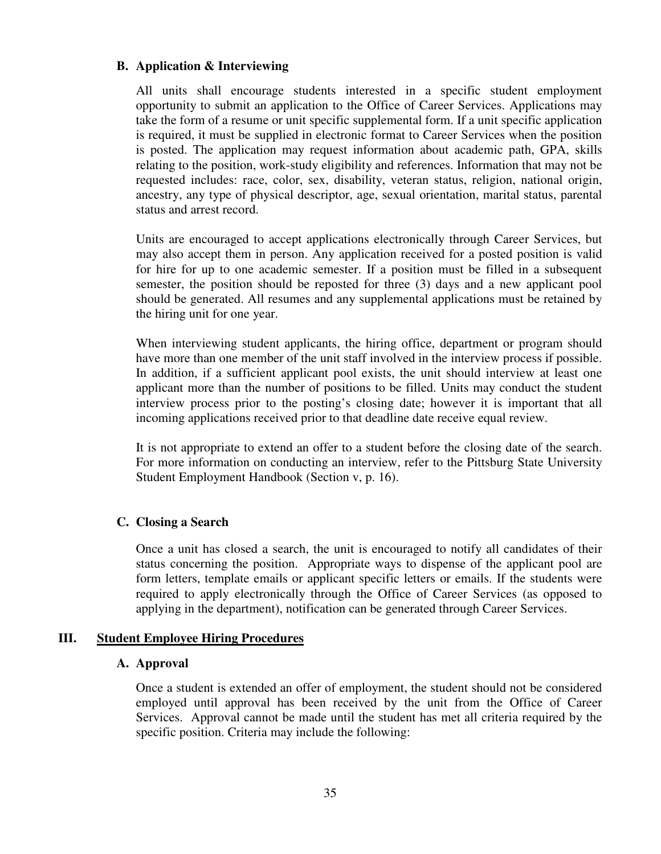### **B. Application & Interviewing**

All units shall encourage students interested in a specific student employment opportunity to submit an application to the Office of Career Services. Applications may take the form of a resume or unit specific supplemental form. If a unit specific application is required, it must be supplied in electronic format to Career Services when the position is posted. The application may request information about academic path, GPA, skills relating to the position, work-study eligibility and references. Information that may not be requested includes: race, color, sex, disability, veteran status, religion, national origin, ancestry, any type of physical descriptor, age, sexual orientation, marital status, parental status and arrest record.

Units are encouraged to accept applications electronically through Career Services, but may also accept them in person. Any application received for a posted position is valid for hire for up to one academic semester. If a position must be filled in a subsequent semester, the position should be reposted for three (3) days and a new applicant pool should be generated. All resumes and any supplemental applications must be retained by the hiring unit for one year.

When interviewing student applicants, the hiring office, department or program should have more than one member of the unit staff involved in the interview process if possible. In addition, if a sufficient applicant pool exists, the unit should interview at least one applicant more than the number of positions to be filled. Units may conduct the student interview process prior to the posting's closing date; however it is important that all incoming applications received prior to that deadline date receive equal review.

It is not appropriate to extend an offer to a student before the closing date of the search. For more information on conducting an interview, refer to the Pittsburg State University Student Employment Handbook (Section v, p. 16).

#### **C. Closing a Search**

Once a unit has closed a search, the unit is encouraged to notify all candidates of their status concerning the position. Appropriate ways to dispense of the applicant pool are form letters, template emails or applicant specific letters or emails. If the students were required to apply electronically through the Office of Career Services (as opposed to applying in the department), notification can be generated through Career Services.

#### **III. Student Employee Hiring Procedures**

#### **A. Approval**

Once a student is extended an offer of employment, the student should not be considered employed until approval has been received by the unit from the Office of Career Services. Approval cannot be made until the student has met all criteria required by the specific position. Criteria may include the following: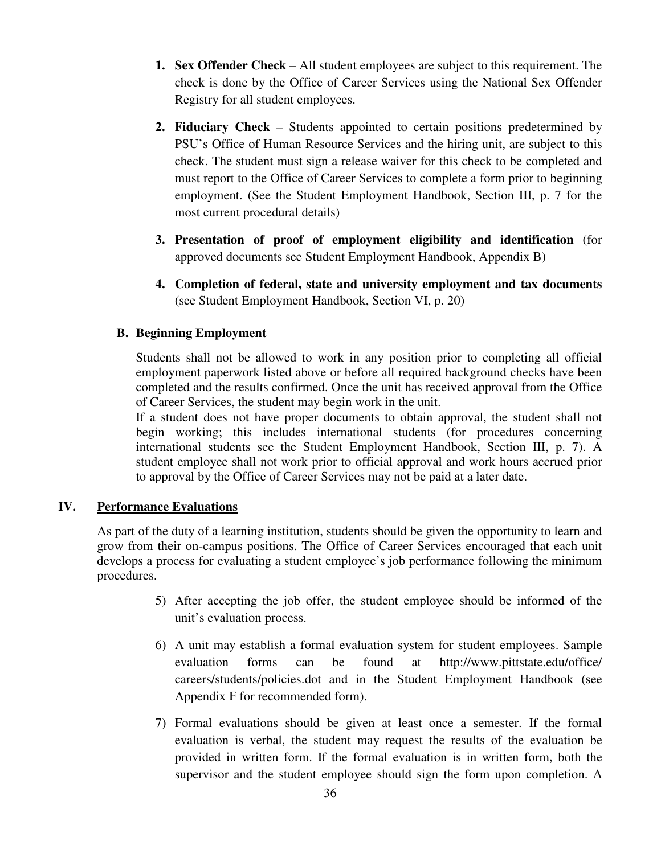- **1. Sex Offender Check** All student employees are subject to this requirement. The check is done by the Office of Career Services using the National Sex Offender Registry for all student employees.
- **2. Fiduciary Check** Students appointed to certain positions predetermined by PSU's Office of Human Resource Services and the hiring unit, are subject to this check. The student must sign a release waiver for this check to be completed and must report to the Office of Career Services to complete a form prior to beginning employment. (See the Student Employment Handbook, Section III, p. 7 for the most current procedural details)
- **3. Presentation of proof of employment eligibility and identification** (for approved documents see Student Employment Handbook, Appendix B)
- **4. Completion of federal, state and university employment and tax documents** (see Student Employment Handbook, Section VI, p. 20)

# **B. Beginning Employment**

Students shall not be allowed to work in any position prior to completing all official employment paperwork listed above or before all required background checks have been completed and the results confirmed. Once the unit has received approval from the Office of Career Services, the student may begin work in the unit.

If a student does not have proper documents to obtain approval, the student shall not begin working; this includes international students (for procedures concerning international students see the Student Employment Handbook, Section III, p. 7). A student employee shall not work prior to official approval and work hours accrued prior to approval by the Office of Career Services may not be paid at a later date.

# **IV. Performance Evaluations**

As part of the duty of a learning institution, students should be given the opportunity to learn and grow from their on-campus positions. The Office of Career Services encouraged that each unit develops a process for evaluating a student employee's job performance following the minimum procedures.

- 5) After accepting the job offer, the student employee should be informed of the unit's evaluation process.
- 6) A unit may establish a formal evaluation system for student employees. Sample evaluation forms can be found at http://www.pittstate.edu/office/ careers/students/policies.dot and in the Student Employment Handbook (see Appendix F for recommended form).
- 7) Formal evaluations should be given at least once a semester. If the formal evaluation is verbal, the student may request the results of the evaluation be provided in written form. If the formal evaluation is in written form, both the supervisor and the student employee should sign the form upon completion. A